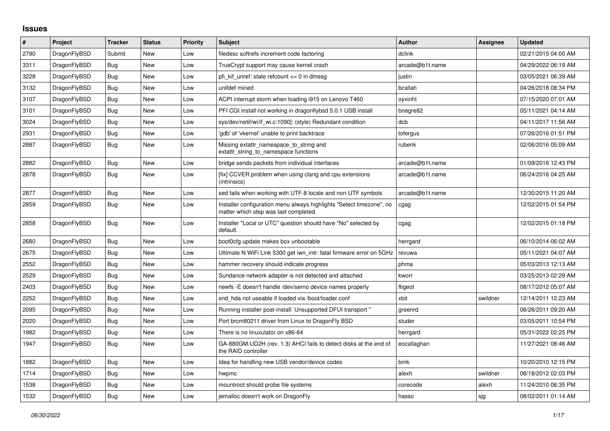## **Issues**

| #    | Project      | <b>Tracker</b> | <b>Status</b> | <b>Priority</b> | <b>Subject</b>                                                                                                | <b>Author</b>   | Assignee | <b>Updated</b>      |
|------|--------------|----------------|---------------|-----------------|---------------------------------------------------------------------------------------------------------------|-----------------|----------|---------------------|
| 2790 | DragonFlyBSD | Submit         | <b>New</b>    | Low             | filedesc softrefs increment code factoring                                                                    | dclink          |          | 02/21/2015 04:00 AM |
| 3311 | DragonFlyBSD | Bug            | <b>New</b>    | Low             | TrueCrypt support may cause kernel crash                                                                      | arcade@b1t.name |          | 04/29/2022 06:19 AM |
| 3228 | DragonFlyBSD | <b>Bug</b>     | New           | Low             | pfi kif unref: state refcount <= 0 in dmesg                                                                   | justin          |          | 03/05/2021 06:39 AM |
| 3132 | DragonFlyBSD | Bug            | <b>New</b>    | Low             | unifdef mined                                                                                                 | bcallah         |          | 04/26/2018 08:34 PM |
| 3107 | DragonFlyBSD | Bug            | New           | Low             | ACPI interrupt storm when loading i915 on Lenovo T460                                                         | oyvinht         |          | 07/15/2020 07:01 AM |
| 3101 | DragonFlyBSD | <b>Bug</b>     | New           | Low             | PFI CGI install not working in dragonflybsd 5.0.1 USB install                                                 | bnegre82        |          | 05/11/2021 04:14 AM |
| 3024 | DragonFlyBSD | Bug            | <b>New</b>    | Low             | sys/dev/netif/wi/if wi.c:1090]: (style) Redundant condition                                                   | dcb             |          | 04/11/2017 11:56 AM |
| 2931 | DragonFlyBSD | Bug            | New           | Low             | 'gdb' of 'vkernel' unable to print backtrace                                                                  | tofergus        |          | 07/26/2016 01:51 PM |
| 2887 | DragonFlyBSD | Bug            | New           | Low             | Missing extattr namespace to string and<br>extattr string to namespace functions                              | rubenk          |          | 02/06/2016 05:09 AM |
| 2882 | DragonFlyBSD | <b>Bug</b>     | <b>New</b>    | Low             | bridge sends packets from individual interfaces                                                               | arcade@b1t.name |          | 01/09/2016 12:43 PM |
| 2878 | DragonFlyBSD | <b>Bug</b>     | New           | Low             | [fix] CCVER problem when using clang and cpu extensions<br>(intrinsics)                                       | arcade@b1t.name |          | 06/24/2016 04:25 AM |
| 2877 | DragonFlyBSD | Bug            | New           | Low             | sed fails when working with UTF-8 locale and non-UTF symbols                                                  | arcade@b1t.name |          | 12/30/2015 11:20 AM |
| 2859 | DragonFlyBSD | Bug            | <b>New</b>    | Low             | Installer configuration menu always highlights "Select timezone", no<br>matter which step was last completed. | cgag            |          | 12/02/2015 01:54 PM |
| 2858 | DragonFlyBSD | Bug            | New           | Low             | Installer "Local or UTC" question should have "No" selected by<br>default.                                    | cgag            |          | 12/02/2015 01:18 PM |
| 2680 | DragonFlyBSD | Bug            | New           | Low             | boot0cfg update makes box unbootable                                                                          | herrgard        |          | 06/10/2014 06:02 AM |
| 2675 | DragonFlyBSD | Bug            | New           | Low             | Ultimate N WiFi Link 5300 get iwn intr: fatal firmware error on 5GHz                                          | revuwa          |          | 05/11/2021 04:07 AM |
| 2552 | DragonFlyBSD | <b>Bug</b>     | New           | Low             | hammer recovery should indicate progress                                                                      | phma            |          | 05/03/2013 12:13 AM |
| 2529 | DragonFlyBSD | Bug            | New           | Low             | Sundance network adapter is not detected and attached                                                         | kworr           |          | 03/25/2013 02:29 AM |
| 2403 | DragonFlyBSD | Bug            | New           | Low             | newfs -E doesn't handle /dev/serno device names properly                                                      | ftigeot         |          | 08/17/2012 05:07 AM |
| 2252 | DragonFlyBSD | Bug            | <b>New</b>    | Low             | snd hda not useable if loaded via /boot/loader.conf                                                           | xbit            | swildner | 12/14/2011 12:23 AM |
| 2095 | DragonFlyBSD | Bug            | New           | Low             | Running installer post-install: Unsupported DFUI transport "                                                  | greenrd         |          | 06/26/2011 09:20 AM |
| 2020 | DragonFlyBSD | Bug            | <b>New</b>    | Low             | Port brcm80211 driver from Linux to DragonFly BSD                                                             | studer          |          | 03/05/2011 10:54 PM |
| 1982 | DragonFlyBSD | <b>Bug</b>     | New           | Low             | There is no linuxulator on x86-64                                                                             | herrgard        |          | 05/31/2022 02:25 PM |
| 1947 | DragonFlyBSD | Bug            | New           | Low             | GA-880GM-UD2H (rev. 1.3) AHCI fails to detect disks at the end of<br>the RAID controller                      | eocallaghan     |          | 11/27/2021 08:46 AM |
| 1882 | DragonFlyBSD | Bug            | <b>New</b>    | Low             | Idea for handling new USB vendor/device codes                                                                 | bmk             |          | 10/20/2010 12:15 PM |
| 1714 | DragonFlyBSD | Bug            | New           | Low             | hwpmc                                                                                                         | alexh           | swildner | 08/18/2012 02:03 PM |
| 1538 | DragonFlyBSD | Bug            | New           | Low             | mountroot should probe file systems                                                                           | corecode        | alexh    | 11/24/2010 06:35 PM |
| 1532 | DragonFlyBSD | Bug            | New           | Low             | jemalloc doesn't work on DragonFly                                                                            | hasso           | sjg      | 08/02/2011 01:14 AM |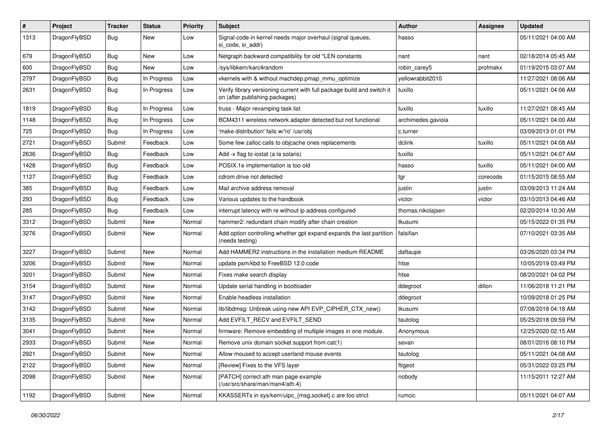| $\pmb{\#}$ | Project      | <b>Tracker</b> | <b>Status</b> | <b>Priority</b> | Subject                                                                                                   | <b>Author</b>      | Assignee | <b>Updated</b>      |
|------------|--------------|----------------|---------------|-----------------|-----------------------------------------------------------------------------------------------------------|--------------------|----------|---------------------|
| 1313       | DragonFlyBSD | Bug            | New           | Low             | Signal code in kernel needs major overhaul (signal queues,<br>si code, si addr)                           | hasso              |          | 05/11/2021 04:00 AM |
| 679        | DragonFlyBSD | <b>Bug</b>     | New           | Low             | Netgraph backward compatibility for old *LEN constants                                                    | nant               | nant     | 02/18/2014 05:45 AM |
| 600        | DragonFlyBSD | Bug            | <b>New</b>    | Low             | /sys/libkern/karc4random                                                                                  | robin carey5       | profmakx | 01/19/2015 03:07 AM |
| 2797       | DragonFlyBSD | <b>Bug</b>     | In Progress   | Low             | vkernels with & without machdep.pmap_mmu_optimize                                                         | yellowrabbit2010   |          | 11/27/2021 08:06 AM |
| 2631       | DragonFlyBSD | Bug            | In Progress   | Low             | Verify library versioning current with full package build and switch it<br>on (after publishing packages) | tuxillo            |          | 05/11/2021 04:06 AM |
| 1819       | DragonFlyBSD | Bug            | In Progress   | Low             | truss - Major revamping task list                                                                         | tuxillo            | tuxillo  | 11/27/2021 08:45 AM |
| 1148       | DragonFlyBSD | Bug            | In Progress   | Low             | BCM4311 wireless network adapter detected but not functional                                              | archimedes.gaviola |          | 05/11/2021 04:00 AM |
| 725        | DragonFlyBSD | Bug            | In Progress   | Low             | 'make distribution' fails w/'ro' /usr/obj                                                                 | c.turner           |          | 03/09/2013 01:01 PM |
| 2721       | DragonFlyBSD | Submit         | Feedback      | Low             | Some few zalloc calls to objcache ones replacements                                                       | dclink             | tuxillo  | 05/11/2021 04:08 AM |
| 2636       | DragonFlyBSD | Bug            | Feedback      | Low             | Add -x flag to iostat (a la solaris)                                                                      | tuxillo            |          | 05/11/2021 04:07 AM |
| 1428       | DragonFlyBSD | Bug            | Feedback      | Low             | POSIX.1e implementation is too old                                                                        | hasso              | tuxillo  | 05/11/2021 04:00 AM |
| 1127       | DragonFlyBSD | Bug            | Feedback      | Low             | cdrom drive not detected                                                                                  | tgr                | corecode | 01/15/2015 08:55 AM |
| 385        | DragonFlyBSD | Bug            | Feedback      | Low             | Mail archive address removal                                                                              | justin             | justin   | 03/09/2013 11:24 AM |
| 293        | DragonFlyBSD | Bug            | Feedback      | Low             | Various updates to the handbook                                                                           | victor             | victor   | 03/10/2013 04:46 AM |
| 285        | DragonFlyBSD | <b>Bug</b>     | Feedback      | Low             | interrupt latency with re without ip address configured                                                   | thomas.nikolajsen  |          | 02/20/2014 10:30 AM |
| 3312       | DragonFlyBSD | Submit         | <b>New</b>    | Normal          | hammer2: redundant chain modify after chain creation                                                      | tkusumi            |          | 05/15/2022 01:35 PM |
| 3276       | DragonFlyBSD | Submit         | <b>New</b>    | Normal          | Add option controlling whether gpt expand expands the last partition<br>(needs testing)                   | falsifian          |          | 07/10/2021 03:35 AM |
| 3227       | DragonFlyBSD | Submit         | <b>New</b>    | Normal          | Add HAMMER2 instructions in the installation medium README                                                | daftaupe           |          | 03/26/2020 03:34 PM |
| 3206       | DragonFlyBSD | Submit         | <b>New</b>    | Normal          | update psm/kbd to FreeBSD 12.0 code                                                                       | htse               |          | 10/05/2019 03:49 PM |
| 3201       | DragonFlyBSD | Submit         | New           | Normal          | Fixes make search display                                                                                 | htse               |          | 08/20/2021 04:02 PM |
| 3154       | DragonFlyBSD | Submit         | <b>New</b>    | Normal          | Update serial handling in bootloader                                                                      | ddegroot           | dillon   | 11/06/2018 11:21 PM |
| 3147       | DragonFlyBSD | Submit         | New           | Normal          | Enable headless installation                                                                              | ddegroot           |          | 10/09/2018 01:25 PM |
| 3142       | DragonFlyBSD | Submit         | New           | Normal          | lib/libdmsg: Unbreak using new API EVP_CIPHER_CTX_new()                                                   | tkusumi            |          | 07/08/2018 04:18 AM |
| 3135       | DragonFlyBSD | Submit         | New           | Normal          | Add EVFILT_RECV and EVFILT_SEND                                                                           | tautolog           |          | 05/25/2018 09:59 PM |
| 3041       | DragonFlyBSD | Submit         | New           | Normal          | firmware: Remove embedding of multiple images in one module.                                              | Anonymous          |          | 12/25/2020 02:15 AM |
| 2933       | DragonFlyBSD | Submit         | <b>New</b>    | Normal          | Remove unix domain socket support from cat(1)                                                             | sevan              |          | 08/01/2016 08:10 PM |
| 2921       | DragonFlyBSD | Submit         | New           | Normal          | Allow moused to accept userland mouse events                                                              | tautolog           |          | 05/11/2021 04:08 AM |
| 2122       | DragonFlyBSD | Submit         | New           | Normal          | [Review] Fixes to the VFS layer                                                                           | ftigeot            |          | 05/31/2022 03:25 PM |
| 2098       | DragonFlyBSD | Submit         | New           | Normal          | [PATCH] correct ath man page example<br>(/usr/src/share/man/man4/ath.4)                                   | nobody             |          | 11/15/2011 12:27 AM |
| 1192       | DragonFlyBSD | Submit         | New           | Normal          | KKASSERTs in sys/kern/uipc_{msg,socket}.c are too strict                                                  | rumcic             |          | 05/11/2021 04:07 AM |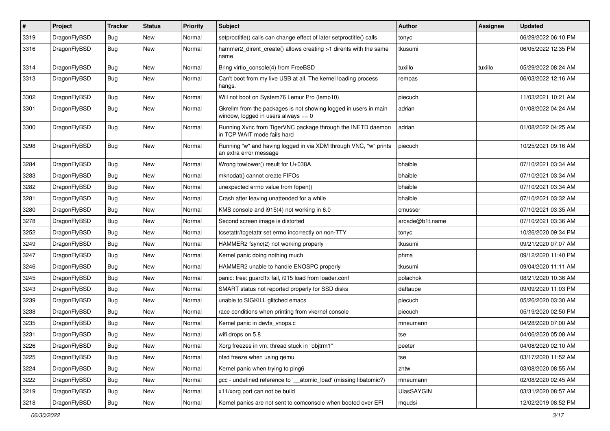| $\pmb{\#}$ | Project      | <b>Tracker</b> | <b>Status</b> | <b>Priority</b> | Subject                                                                                                   | <b>Author</b>   | Assignee | <b>Updated</b>      |
|------------|--------------|----------------|---------------|-----------------|-----------------------------------------------------------------------------------------------------------|-----------------|----------|---------------------|
| 3319       | DragonFlyBSD | Bug            | New           | Normal          | setproctitle() calls can change effect of later setproctitle() calls                                      | tonyc           |          | 06/29/2022 06:10 PM |
| 3316       | DragonFlyBSD | Bug            | New           | Normal          | hammer2_dirent_create() allows creating >1 dirents with the same<br>name                                  | tkusumi         |          | 06/05/2022 12:35 PM |
| 3314       | DragonFlyBSD | Bug            | New           | Normal          | Bring virtio_console(4) from FreeBSD                                                                      | tuxillo         | tuxillo  | 05/29/2022 08:24 AM |
| 3313       | DragonFlyBSD | Bug            | New           | Normal          | Can't boot from my live USB at all. The kernel loading process<br>hangs.                                  | rempas          |          | 06/03/2022 12:16 AM |
| 3302       | DragonFlyBSD | Bug            | <b>New</b>    | Normal          | Will not boot on System76 Lemur Pro (lemp10)                                                              | piecuch         |          | 11/03/2021 10:21 AM |
| 3301       | DragonFlyBSD | Bug            | New           | Normal          | Gkrellm from the packages is not showing logged in users in main<br>window, logged in users always $== 0$ | adrian          |          | 01/08/2022 04:24 AM |
| 3300       | DragonFlyBSD | Bug            | New           | Normal          | Running Xvnc from TigerVNC package through the INETD daemon<br>in TCP WAIT mode fails hard                | adrian          |          | 01/08/2022 04:25 AM |
| 3298       | DragonFlyBSD | Bug            | New           | Normal          | Running "w" and having logged in via XDM through VNC, "w" prints<br>an extra error message                | piecuch         |          | 10/25/2021 09:16 AM |
| 3284       | DragonFlyBSD | <b>Bug</b>     | <b>New</b>    | Normal          | Wrong towlower() result for U+038A                                                                        | bhaible         |          | 07/10/2021 03:34 AM |
| 3283       | DragonFlyBSD | Bug            | New           | Normal          | mknodat() cannot create FIFOs                                                                             | bhaible         |          | 07/10/2021 03:34 AM |
| 3282       | DragonFlyBSD | Bug            | New           | Normal          | unexpected errno value from fopen()                                                                       | bhaible         |          | 07/10/2021 03:34 AM |
| 3281       | DragonFlyBSD | Bug            | <b>New</b>    | Normal          | Crash after leaving unattended for a while                                                                | bhaible         |          | 07/10/2021 03:32 AM |
| 3280       | DragonFlyBSD | Bug            | New           | Normal          | KMS console and i915(4) not working in 6.0                                                                | cmusser         |          | 07/10/2021 03:35 AM |
| 3278       | DragonFlyBSD | Bug            | <b>New</b>    | Normal          | Second screen image is distorted                                                                          | arcade@b1t.name |          | 07/10/2021 03:36 AM |
| 3252       | DragonFlyBSD | Bug            | <b>New</b>    | Normal          | tcsetattr/tcgetattr set errno incorrectly on non-TTY                                                      | tonyc           |          | 10/26/2020 09:34 PM |
| 3249       | DragonFlyBSD | <b>Bug</b>     | <b>New</b>    | Normal          | HAMMER2 fsync(2) not working properly                                                                     | tkusumi         |          | 09/21/2020 07:07 AM |
| 3247       | DragonFlyBSD | <b>Bug</b>     | <b>New</b>    | Normal          | Kernel panic doing nothing much                                                                           | phma            |          | 09/12/2020 11:40 PM |
| 3246       | DragonFlyBSD | Bug            | <b>New</b>    | Normal          | HAMMER2 unable to handle ENOSPC properly                                                                  | tkusumi         |          | 09/04/2020 11:11 AM |
| 3245       | DragonFlyBSD | Bug            | New           | Normal          | panic: free: guard1x fail, i915 load from loader.conf                                                     | polachok        |          | 08/21/2020 10:36 AM |
| 3243       | DragonFlyBSD | Bug            | New           | Normal          | SMART status not reported properly for SSD disks                                                          | daftaupe        |          | 09/09/2020 11:03 PM |
| 3239       | DragonFlyBSD | Bug            | New           | Normal          | unable to SIGKILL glitched emacs                                                                          | piecuch         |          | 05/26/2020 03:30 AM |
| 3238       | DragonFlyBSD | Bug            | New           | Normal          | race conditions when printing from vkernel console                                                        | piecuch         |          | 05/19/2020 02:50 PM |
| 3235       | DragonFlyBSD | Bug            | <b>New</b>    | Normal          | Kernel panic in devfs_vnops.c                                                                             | mneumann        |          | 04/28/2020 07:00 AM |
| 3231       | DragonFlyBSD | Bug            | New           | Normal          | wifi drops on 5.8                                                                                         | tse             |          | 04/06/2020 05:08 AM |
| 3226       | DragonFlyBSD | Bug            | New           | Normal          | Xorg freezes in vm: thread stuck in "objtrm1"                                                             | peeter          |          | 04/08/2020 02:10 AM |
| 3225       | DragonFlyBSD | <b>Bug</b>     | New           | Normal          | nfsd freeze when using gemu                                                                               | tse             |          | 03/17/2020 11:52 AM |
| 3224       | DragonFlyBSD | <b>Bug</b>     | <b>New</b>    | Normal          | Kernel panic when trying to ping6                                                                         | zhtw            |          | 03/08/2020 08:55 AM |
| 3222       | DragonFlyBSD | Bug            | New           | Normal          | gcc - undefined reference to '__atomic_load' (missing libatomic?)                                         | mneumann        |          | 02/08/2020 02:45 AM |
| 3219       | DragonFlyBSD | <b>Bug</b>     | New           | Normal          | x11/xorg port can not be build                                                                            | UlasSAYGIN      |          | 03/31/2020 08:57 AM |
| 3218       | DragonFlyBSD | Bug            | New           | Normal          | Kernel panics are not sent to comconsole when booted over EFI                                             | mqudsi          |          | 12/02/2019 08:52 PM |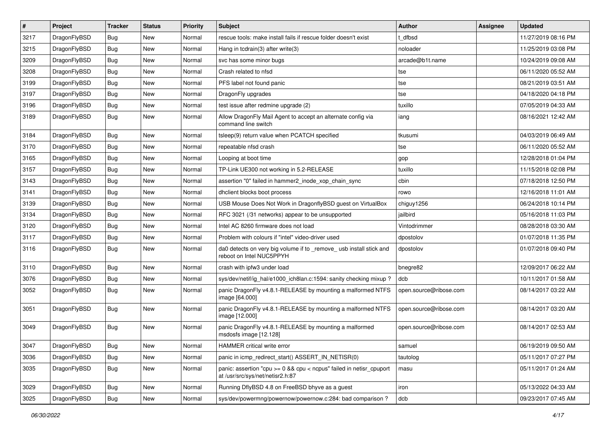| $\sharp$ | Project      | <b>Tracker</b> | <b>Status</b> | <b>Priority</b> | Subject                                                                                                 | <b>Author</b>          | Assignee | <b>Updated</b>      |
|----------|--------------|----------------|---------------|-----------------|---------------------------------------------------------------------------------------------------------|------------------------|----------|---------------------|
| 3217     | DragonFlyBSD | Bug            | New           | Normal          | rescue tools: make install fails if rescue folder doesn't exist                                         | t dfbsd                |          | 11/27/2019 08:16 PM |
| 3215     | DragonFlyBSD | Bug            | New           | Normal          | Hang in todrain(3) after write(3)                                                                       | noloader               |          | 11/25/2019 03:08 PM |
| 3209     | DragonFlyBSD | Bug            | New           | Normal          | svc has some minor bugs                                                                                 | arcade@b1t.name        |          | 10/24/2019 09:08 AM |
| 3208     | DragonFlyBSD | Bug            | New           | Normal          | Crash related to nfsd                                                                                   | tse                    |          | 06/11/2020 05:52 AM |
| 3199     | DragonFlyBSD | Bug            | <b>New</b>    | Normal          | PFS label not found panic                                                                               | tse                    |          | 08/21/2019 03:51 AM |
| 3197     | DragonFlyBSD | Bug            | <b>New</b>    | Normal          | DragonFly upgrades                                                                                      | tse                    |          | 04/18/2020 04:18 PM |
| 3196     | DragonFlyBSD | Bug            | New           | Normal          | test issue after redmine upgrade (2)                                                                    | tuxillo                |          | 07/05/2019 04:33 AM |
| 3189     | DragonFlyBSD | Bug            | <b>New</b>    | Normal          | Allow DragonFly Mail Agent to accept an alternate config via<br>command line switch                     | iang                   |          | 08/16/2021 12:42 AM |
| 3184     | DragonFlyBSD | Bug            | <b>New</b>    | Normal          | tsleep(9) return value when PCATCH specified                                                            | tkusumi                |          | 04/03/2019 06:49 AM |
| 3170     | DragonFlyBSD | Bug            | New           | Normal          | repeatable nfsd crash                                                                                   | tse                    |          | 06/11/2020 05:52 AM |
| 3165     | DragonFlyBSD | Bug            | New           | Normal          | Looping at boot time                                                                                    | gop                    |          | 12/28/2018 01:04 PM |
| 3157     | DragonFlyBSD | Bug            | New           | Normal          | TP-Link UE300 not working in 5.2-RELEASE                                                                | tuxillo                |          | 11/15/2018 02:08 PM |
| 3143     | DragonFlyBSD | Bug            | <b>New</b>    | Normal          | assertion "0" failed in hammer2_inode_xop_chain_sync                                                    | cbin                   |          | 07/18/2018 12:50 PM |
| 3141     | DragonFlyBSD | Bug            | New           | Normal          | dhclient blocks boot process                                                                            | rowo                   |          | 12/16/2018 11:01 AM |
| 3139     | DragonFlyBSD | Bug            | <b>New</b>    | Normal          | USB Mouse Does Not Work in DragonflyBSD guest on VirtualBox                                             | chiguy1256             |          | 06/24/2018 10:14 PM |
| 3134     | DragonFlyBSD | Bug            | <b>New</b>    | Normal          | RFC 3021 (/31 networks) appear to be unsupported                                                        | jailbird               |          | 05/16/2018 11:03 PM |
| 3120     | DragonFlyBSD | Bug            | <b>New</b>    | Normal          | Intel AC 8260 firmware does not load                                                                    | Vintodrimmer           |          | 08/28/2018 03:30 AM |
| 3117     | DragonFlyBSD | Bug            | New           | Normal          | Problem with colours if "intel" video-driver used                                                       | dpostolov              |          | 01/07/2018 11:35 PM |
| 3116     | DragonFlyBSD | Bug            | New           | Normal          | da0 detects on very big volume if to _remove_ usb install stick and<br>reboot on Intel NUC5PPYH         | dpostolov              |          | 01/07/2018 09:40 PM |
| 3110     | DragonFlyBSD | Bug            | <b>New</b>    | Normal          | crash with ipfw3 under load                                                                             | bnegre82               |          | 12/09/2017 06:22 AM |
| 3076     | DragonFlyBSD | Bug            | <b>New</b>    | Normal          | sys/dev/netif/ig_hal/e1000_ich8lan.c:1594: sanity checking mixup ?                                      | dcb                    |          | 10/11/2017 01:58 AM |
| 3052     | DragonFlyBSD | Bug            | New           | Normal          | panic DragonFly v4.8.1-RELEASE by mounting a malformed NTFS<br>image [64.000]                           | open.source@ribose.com |          | 08/14/2017 03:22 AM |
| 3051     | DragonFlyBSD | <b>Bug</b>     | New           | Normal          | panic DragonFly v4.8.1-RELEASE by mounting a malformed NTFS<br>image [12.000]                           | open.source@ribose.com |          | 08/14/2017 03:20 AM |
| 3049     | DragonFlyBSD | Bug            | New           | Normal          | panic DragonFly v4.8.1-RELEASE by mounting a malformed<br>msdosfs image [12.128]                        | open.source@ribose.com |          | 08/14/2017 02:53 AM |
| 3047     | DragonFlyBSD | <b>Bug</b>     | I New         | Normal          | HAMMER critical write error                                                                             | samuel                 |          | 06/19/2019 09:50 AM |
| 3036     | DragonFlyBSD | <b>Bug</b>     | <b>New</b>    | Normal          | panic in icmp redirect start() ASSERT IN NETISR(0)                                                      | tautolog               |          | 05/11/2017 07:27 PM |
| 3035     | DragonFlyBSD | Bug            | New           | Normal          | panic: assertion "cpu >= 0 && cpu < ncpus" failed in netisr_cpuport<br>at /usr/src/sys/net/netisr2.h:87 | masu                   |          | 05/11/2017 01:24 AM |
| 3029     | DragonFlyBSD | <b>Bug</b>     | <b>New</b>    | Normal          | Running DflyBSD 4.8 on FreeBSD bhyve as a guest                                                         | iron                   |          | 05/13/2022 04:33 AM |
| 3025     | DragonFlyBSD | <b>Bug</b>     | New           | Normal          | sys/dev/powermng/powernow/powernow.c:284: bad comparison?                                               | dcb                    |          | 09/23/2017 07:45 AM |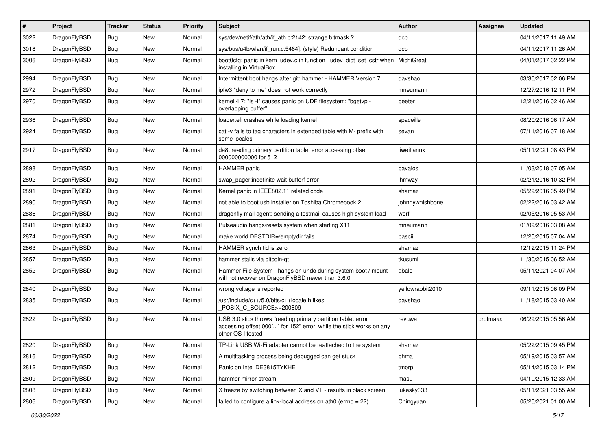| $\sharp$ | Project      | <b>Tracker</b> | <b>Status</b> | <b>Priority</b> | Subject                                                                                                                                                  | <b>Author</b>    | Assignee | <b>Updated</b>      |
|----------|--------------|----------------|---------------|-----------------|----------------------------------------------------------------------------------------------------------------------------------------------------------|------------------|----------|---------------------|
| 3022     | DragonFlyBSD | Bug            | New           | Normal          | sys/dev/netif/ath/ath/if_ath.c:2142: strange bitmask?                                                                                                    | dcb              |          | 04/11/2017 11:49 AM |
| 3018     | DragonFlyBSD | Bug            | New           | Normal          | sys/bus/u4b/wlan/if_run.c:5464]: (style) Redundant condition                                                                                             | dcb              |          | 04/11/2017 11:26 AM |
| 3006     | DragonFlyBSD | Bug            | New           | Normal          | boot0cfg: panic in kern_udev.c in function _udev_dict_set_cstr when<br>installing in VirtualBox                                                          | MichiGreat       |          | 04/01/2017 02:22 PM |
| 2994     | DragonFlyBSD | Bug            | <b>New</b>    | Normal          | Intermittent boot hangs after git: hammer - HAMMER Version 7                                                                                             | davshao          |          | 03/30/2017 02:06 PM |
| 2972     | DragonFlyBSD | Bug            | New           | Normal          | ipfw3 "deny to me" does not work correctly                                                                                                               | mneumann         |          | 12/27/2016 12:11 PM |
| 2970     | DragonFlyBSD | Bug            | New           | Normal          | kernel 4.7: "Is -I" causes panic on UDF filesystem: "bgetvp -<br>overlapping buffer"                                                                     | peeter           |          | 12/21/2016 02:46 AM |
| 2936     | DragonFlyBSD | Bug            | <b>New</b>    | Normal          | loader.efi crashes while loading kernel                                                                                                                  | spaceille        |          | 08/20/2016 06:17 AM |
| 2924     | DragonFlyBSD | Bug            | New           | Normal          | cat -v fails to tag characters in extended table with M- prefix with<br>some locales                                                                     | sevan            |          | 07/11/2016 07:18 AM |
| 2917     | DragonFlyBSD | Bug            | New           | Normal          | da8: reading primary partition table: error accessing offset<br>000000000000 for 512                                                                     | liweitianux      |          | 05/11/2021 08:43 PM |
| 2898     | DragonFlyBSD | Bug            | New           | Normal          | HAMMER panic                                                                                                                                             | pavalos          |          | 11/03/2018 07:05 AM |
| 2892     | DragonFlyBSD | <b>Bug</b>     | New           | Normal          | swap pager:indefinite wait bufferf error                                                                                                                 | <b>Ihmwzy</b>    |          | 02/21/2016 10:32 PM |
| 2891     | DragonFlyBSD | <b>Bug</b>     | New           | Normal          | Kernel panic in IEEE802.11 related code                                                                                                                  | shamaz           |          | 05/29/2016 05:49 PM |
| 2890     | DragonFlyBSD | <b>Bug</b>     | New           | Normal          | not able to boot usb installer on Toshiba Chromebook 2                                                                                                   | johnnywhishbone  |          | 02/22/2016 03:42 AM |
| 2886     | DragonFlyBSD | Bug            | New           | Normal          | dragonfly mail agent: sending a testmail causes high system load                                                                                         | worf             |          | 02/05/2016 05:53 AM |
| 2881     | DragonFlyBSD | <b>Bug</b>     | <b>New</b>    | Normal          | Pulseaudio hangs/resets system when starting X11                                                                                                         | mneumann         |          | 01/09/2016 03:08 AM |
| 2874     | DragonFlyBSD | <b>Bug</b>     | New           | Normal          | make world DESTDIR=/emptydir fails                                                                                                                       | pascii           |          | 12/25/2015 07:04 AM |
| 2863     | DragonFlyBSD | Bug            | <b>New</b>    | Normal          | HAMMER synch tid is zero                                                                                                                                 | shamaz           |          | 12/12/2015 11:24 PM |
| 2857     | DragonFlyBSD | <b>Bug</b>     | New           | Normal          | hammer stalls via bitcoin-qt                                                                                                                             | tkusumi          |          | 11/30/2015 06:52 AM |
| 2852     | DragonFlyBSD | Bug            | New           | Normal          | Hammer File System - hangs on undo during system boot / mount -<br>will not recover on DragonFlyBSD newer than 3.6.0                                     | abale            |          | 05/11/2021 04:07 AM |
| 2840     | DragonFlyBSD | Bug            | New           | Normal          | wrong voltage is reported                                                                                                                                | yellowrabbit2010 |          | 09/11/2015 06:09 PM |
| 2835     | DragonFlyBSD | Bug            | New           | Normal          | /usr/include/c++/5.0/bits/c++locale.h likes<br>POSIX C_SOURCE>=200809                                                                                    | davshao          |          | 11/18/2015 03:40 AM |
| 2822     | DragonFlyBSD | Bug            | New           | Normal          | USB 3.0 stick throws "reading primary partition table: error<br>accessing offset 000[] for 152" error, while the stick works on any<br>other OS I tested | revuwa           | profmakx | 06/29/2015 05:56 AM |
| 2820     | DragonFlyBSD | <b>Bug</b>     | New           | Normal          | TP-Link USB Wi-Fi adapter cannot be reattached to the system                                                                                             | shamaz           |          | 05/22/2015 09:45 PM |
| 2816     | DragonFlyBSD | Bug            | New           | Normal          | A multitasking process being debugged can get stuck                                                                                                      | phma             |          | 05/19/2015 03:57 AM |
| 2812     | DragonFlyBSD | <b>Bug</b>     | New           | Normal          | Panic on Intel DE3815TYKHE                                                                                                                               | tmorp            |          | 05/14/2015 03:14 PM |
| 2809     | DragonFlyBSD | <b>Bug</b>     | New           | Normal          | hammer mirror-stream                                                                                                                                     | masu             |          | 04/10/2015 12:33 AM |
| 2808     | DragonFlyBSD | Bug            | New           | Normal          | X freeze by switching between X and VT - results in black screen                                                                                         | lukesky333       |          | 05/11/2021 03:55 AM |
| 2806     | DragonFlyBSD | <b>Bug</b>     | New           | Normal          | failed to configure a link-local address on ath0 (errno = 22)                                                                                            | Chingyuan        |          | 05/25/2021 01:00 AM |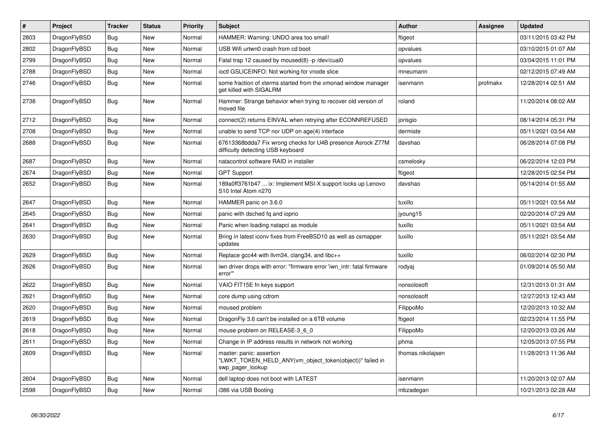| $\#$ | Project      | <b>Tracker</b> | <b>Status</b> | <b>Priority</b> | <b>Subject</b>                                                                                           | <b>Author</b>     | Assignee | <b>Updated</b>      |
|------|--------------|----------------|---------------|-----------------|----------------------------------------------------------------------------------------------------------|-------------------|----------|---------------------|
| 2803 | DragonFlyBSD | <b>Bug</b>     | <b>New</b>    | Normal          | HAMMER: Warning: UNDO area too small!                                                                    | ftigeot           |          | 03/11/2015 03:42 PM |
| 2802 | DragonFlyBSD | <b>Bug</b>     | <b>New</b>    | Normal          | USB Wifi urtwn0 crash from cd boot                                                                       | opvalues          |          | 03/10/2015 01:07 AM |
| 2799 | DragonFlyBSD | Bug            | New           | Normal          | Fatal trap 12 caused by moused(8) -p/dev/cual0                                                           | opvalues          |          | 03/04/2015 11:01 PM |
| 2788 | DragonFlyBSD | Bug            | <b>New</b>    | Normal          | ioctl GSLICEINFO: Not working for vnode slice                                                            | mneumann          |          | 02/12/2015 07:49 AM |
| 2746 | DragonFlyBSD | <b>Bug</b>     | New           | Normal          | some fraction of xterms started from the xmonad window manager<br>get killed with SIGALRM                | isenmann          | profmakx | 12/28/2014 02:51 AM |
| 2738 | DragonFlyBSD | Bug            | <b>New</b>    | Normal          | Hammer: Strange behavior when trying to recover old version of<br>moved file                             | roland            |          | 11/20/2014 08:02 AM |
| 2712 | DragonFlyBSD | Bug            | <b>New</b>    | Normal          | connect(2) returns EINVAL when retrying after ECONNREFUSED                                               | jorisgio          |          | 08/14/2014 05:31 PM |
| 2708 | DragonFlyBSD | Bug            | <b>New</b>    | Normal          | unable to send TCP nor UDP on age(4) interface                                                           | dermiste          |          | 05/11/2021 03:54 AM |
| 2688 | DragonFlyBSD | <b>Bug</b>     | New           | Normal          | 67613368bdda7 Fix wrong checks for U4B presence Asrock Z77M<br>difficulty detecting USB keyboard         | davshao           |          | 06/28/2014 07:08 PM |
| 2687 | DragonFlyBSD | Bug            | <b>New</b>    | Normal          | natacontrol software RAID in installer                                                                   | csmelosky         |          | 06/22/2014 12:03 PM |
| 2674 | DragonFlyBSD | <b>Bug</b>     | <b>New</b>    | Normal          | <b>GPT Support</b>                                                                                       | ftigeot           |          | 12/28/2015 02:54 PM |
| 2652 | DragonFlyBSD | Bug            | <b>New</b>    | Normal          | 189a0ff3761b47  ix: Implement MSI-X support locks up Lenovo<br>S10 Intel Atom n270                       | davshao           |          | 05/14/2014 01:55 AM |
| 2647 | DragonFlyBSD | <b>Bug</b>     | <b>New</b>    | Normal          | HAMMER panic on 3.6.0                                                                                    | tuxillo           |          | 05/11/2021 03:54 AM |
| 2645 | DragonFlyBSD | <b>Bug</b>     | <b>New</b>    | Normal          | panic with dsched fq and ioprio                                                                          | jyoung15          |          | 02/20/2014 07:29 AM |
| 2641 | DragonFlyBSD | Bug            | <b>New</b>    | Normal          | Panic when loading natapci as module                                                                     | tuxillo           |          | 05/11/2021 03:54 AM |
| 2630 | DragonFlyBSD | <b>Bug</b>     | <b>New</b>    | Normal          | Bring in latest iconv fixes from FreeBSD10 as well as csmapper<br>updates                                | tuxillo           |          | 05/11/2021 03:54 AM |
| 2629 | DragonFlyBSD | <b>Bug</b>     | <b>New</b>    | Normal          | Replace gcc44 with llvm34, clang34, and libc++                                                           | tuxillo           |          | 06/02/2014 02:30 PM |
| 2626 | DragonFlyBSD | <b>Bug</b>     | <b>New</b>    | Normal          | iwn driver drops with error: "firmware error 'iwn intr: fatal firmware<br>error"                         | rodyaj            |          | 01/09/2014 05:50 AM |
| 2622 | DragonFlyBSD | Bug            | <b>New</b>    | Normal          | VAIO FIT15E fn keys support                                                                              | nonsolosoft       |          | 12/31/2013 01:31 AM |
| 2621 | DragonFlyBSD | <b>Bug</b>     | New           | Normal          | core dump using cdrom                                                                                    | nonsolosoft       |          | 12/27/2013 12:43 AM |
| 2620 | DragonFlyBSD | Bug            | <b>New</b>    | Normal          | moused problem                                                                                           | FilippoMo         |          | 12/20/2013 10:32 AM |
| 2619 | DragonFlyBSD | Bug            | <b>New</b>    | Normal          | DragonFly 3.6 can't be installed on a 6TB volume                                                         | ftigeot           |          | 02/23/2014 11:55 PM |
| 2618 | DragonFlyBSD | <b>Bug</b>     | <b>New</b>    | Normal          | mouse problem on RELEASE-3_6_0                                                                           | FilippoMo         |          | 12/20/2013 03:26 AM |
| 2611 | DragonFlyBSD | Bug            | <b>New</b>    | Normal          | Change in IP address results in network not working                                                      | phma              |          | 12/05/2013 07:55 PM |
| 2609 | DragonFlyBSD | Bug            | <b>New</b>    | Normal          | master: panic: assertion<br>"LWKT TOKEN HELD ANY(vm object token(object))" failed in<br>swp pager lookup | thomas.nikolajsen |          | 11/28/2013 11:36 AM |
| 2604 | DragonFlyBSD | Bug            | <b>New</b>    | Normal          | dell laptop does not boot with LATEST                                                                    | isenmann          |          | 11/20/2013 02:07 AM |
| 2598 | DragonFlyBSD | Bug            | <b>New</b>    | Normal          | i386 via USB Booting                                                                                     | mbzadegan         |          | 10/21/2013 02:28 AM |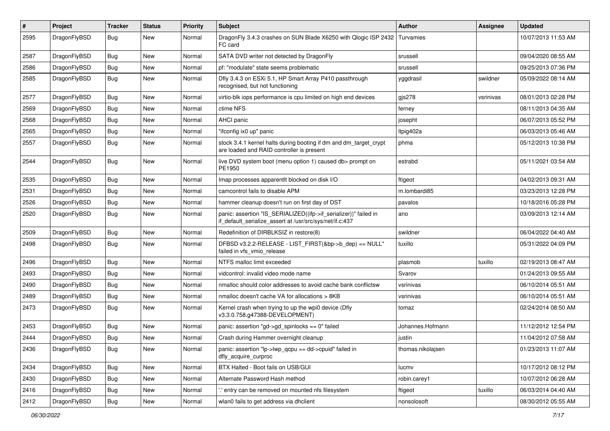| #    | Project      | <b>Tracker</b> | <b>Status</b> | <b>Priority</b> | Subject                                                                                                                      | Author            | Assignee  | <b>Updated</b>      |
|------|--------------|----------------|---------------|-----------------|------------------------------------------------------------------------------------------------------------------------------|-------------------|-----------|---------------------|
| 2595 | DragonFlyBSD | Bug            | <b>New</b>    | Normal          | DragonFly 3.4.3 crashes on SUN Blade X6250 with Qlogic ISP 2432<br>FC card                                                   | Turvamies         |           | 10/07/2013 11:53 AM |
| 2587 | DragonFlyBSD | <b>Bug</b>     | <b>New</b>    | Normal          | SATA DVD writer not detected by DragonFly                                                                                    | srussell          |           | 09/04/2020 08:55 AM |
| 2586 | DragonFlyBSD | <b>Bug</b>     | <b>New</b>    | Normal          | pf: "modulate" state seems problematic                                                                                       | srussell          |           | 09/25/2013 07:36 PM |
| 2585 | DragonFlyBSD | <b>Bug</b>     | <b>New</b>    | Normal          | Dfly 3.4.3 on ESXi 5.1, HP Smart Array P410 passthrough<br>recognised, but not functioning                                   | yggdrasil         | swildner  | 05/09/2022 08:14 AM |
| 2577 | DragonFlyBSD | <b>Bug</b>     | <b>New</b>    | Normal          | virtio-blk iops performance is cpu limited on high end devices                                                               | $g$ js278         | vsrinivas | 08/01/2013 02:28 PM |
| 2569 | DragonFlyBSD | <b>Bug</b>     | <b>New</b>    | Normal          | ctime NFS                                                                                                                    | ferney            |           | 08/11/2013 04:35 AM |
| 2568 | DragonFlyBSD | <b>Bug</b>     | <b>New</b>    | Normal          | <b>AHCI</b> panic                                                                                                            | josepht           |           | 06/07/2013 05:52 PM |
| 2565 | DragonFlyBSD | <b>Bug</b>     | <b>New</b>    | Normal          | "ifconfig ix0 up" panic                                                                                                      | Itpig402a         |           | 06/03/2013 05:46 AM |
| 2557 | DragonFlyBSD | <b>Bug</b>     | <b>New</b>    | Normal          | stock 3.4.1 kernel halts during booting if dm and dm_target_crypt<br>are loaded and RAID controller is present               | phma              |           | 05/12/2013 10:38 PM |
| 2544 | DragonFlyBSD | <b>Bug</b>     | New           | Normal          | live DVD system boot (menu option 1) caused db> prompt on<br>PE1950                                                          | estrabd           |           | 05/11/2021 03:54 AM |
| 2535 | DragonFlyBSD | <b>Bug</b>     | <b>New</b>    | Normal          | Imap processes apparentlt blocked on disk I/O                                                                                | ftigeot           |           | 04/02/2013 09:31 AM |
| 2531 | DragonFlyBSD | <b>Bug</b>     | <b>New</b>    | Normal          | camcontrol fails to disable APM                                                                                              | m.lombardi85      |           | 03/23/2013 12:28 PM |
| 2526 | DragonFlyBSD | <b>Bug</b>     | New           | Normal          | hammer cleanup doesn't run on first day of DST                                                                               | pavalos           |           | 10/18/2016 05:28 PM |
| 2520 | DragonFlyBSD | <b>Bug</b>     | <b>New</b>    | Normal          | panic: assertion "IS_SERIALIZED((ifp->if_serializer))" failed in<br>if_default_serialize_assert at /usr/src/sys/net/if.c:437 | ano               |           | 03/09/2013 12:14 AM |
| 2509 | DragonFlyBSD | <b>Bug</b>     | <b>New</b>    | Normal          | Redefinition of DIRBLKSIZ in restore(8)                                                                                      | swildner          |           | 06/04/2022 04:40 AM |
| 2498 | DragonFlyBSD | <b>Bug</b>     | <b>New</b>    | Normal          | DFBSD v3.2.2-RELEASE - LIST_FIRST(&bp->b_dep) == NULL"<br>failed in vfs vmio release                                         | tuxillo           |           | 05/31/2022 04:09 PM |
| 2496 | DragonFlyBSD | <b>Bug</b>     | <b>New</b>    | Normal          | NTFS malloc limit exceeded                                                                                                   | plasmob           | tuxillo   | 02/19/2013 08:47 AM |
| 2493 | DragonFlyBSD | <b>Bug</b>     | <b>New</b>    | Normal          | vidcontrol: invalid video mode name                                                                                          | Svarov            |           | 01/24/2013 09:55 AM |
| 2490 | DragonFlyBSD | <b>Bug</b>     | <b>New</b>    | Normal          | nmalloc should color addresses to avoid cache bank conflictsw                                                                | vsrinivas         |           | 06/10/2014 05:51 AM |
| 2489 | DragonFlyBSD | <b>Bug</b>     | <b>New</b>    | Normal          | nmalloc doesn't cache VA for allocations > 8KB                                                                               | vsrinivas         |           | 06/10/2014 05:51 AM |
| 2473 | DragonFlyBSD | <b>Bug</b>     | New           | Normal          | Kernel crash when trying to up the wpi0 device (Dfly<br>v3.3.0.758.g47388-DEVELOPMENT)                                       | tomaz             |           | 02/24/2014 08:50 AM |
| 2453 | DragonFlyBSD | <b>Bug</b>     | <b>New</b>    | Normal          | panic: assertion "gd->gd_spinlocks == 0" failed                                                                              | Johannes.Hofmann  |           | 11/12/2012 12:54 PM |
| 2444 | DragonFlyBSD | Bug            | New           | Normal          | Crash during Hammer overnight cleanup                                                                                        | justin            |           | 11/04/2012 07:58 AM |
| 2436 | DragonFlyBSD | Bug            | New           | Normal          | panic: assertion "lp->lwp_qcpu == dd->cpuid" failed in<br>dfly acquire curproc                                               | thomas.nikolajsen |           | 01/23/2013 11:07 AM |
| 2434 | DragonFlyBSD | <b>Bug</b>     | New           | Normal          | BTX Halted - Boot fails on USB/GUI                                                                                           | lucmv             |           | 10/17/2012 08:12 PM |
| 2430 | DragonFlyBSD | <b>Bug</b>     | New           | Normal          | Alternate Password Hash method                                                                                               | robin.carey1      |           | 10/07/2012 06:28 AM |
| 2416 | DragonFlyBSD | <b>Bug</b>     | New           | Normal          | ' entry can be removed on mounted nfs filesystem                                                                             | ftigeot           | tuxillo   | 06/03/2014 04:40 AM |
| 2412 | DragonFlyBSD | Bug            | New           | Normal          | wlan0 fails to get address via dhclient                                                                                      | nonsolosoft       |           | 08/30/2012 05:55 AM |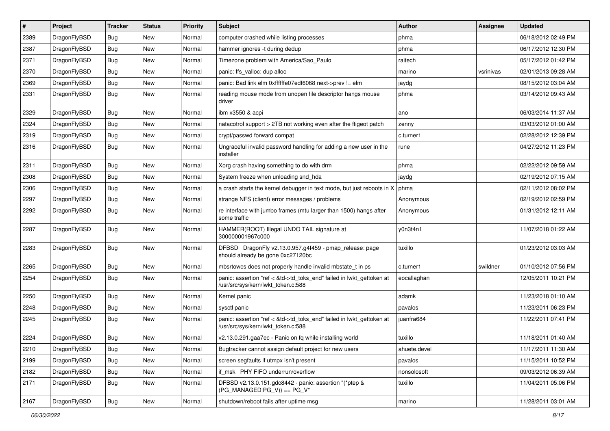| #    | Project      | <b>Tracker</b> | <b>Status</b> | <b>Priority</b> | Subject                                                                                                    | Author       | Assignee  | <b>Updated</b>      |
|------|--------------|----------------|---------------|-----------------|------------------------------------------------------------------------------------------------------------|--------------|-----------|---------------------|
| 2389 | DragonFlyBSD | <b>Bug</b>     | New           | Normal          | computer crashed while listing processes                                                                   | phma         |           | 06/18/2012 02:49 PM |
| 2387 | DragonFlyBSD | Bug            | New           | Normal          | hammer ignores -t during dedup                                                                             | phma         |           | 06/17/2012 12:30 PM |
| 2371 | DragonFlyBSD | <b>Bug</b>     | New           | Normal          | Timezone problem with America/Sao_Paulo                                                                    | raitech      |           | 05/17/2012 01:42 PM |
| 2370 | DragonFlyBSD | <b>Bug</b>     | New           | Normal          | panic: ffs_valloc: dup alloc                                                                               | marino       | vsrinivas | 02/01/2013 09:28 AM |
| 2369 | DragonFlyBSD | Bug            | New           | Normal          | panic: Bad link elm 0xffffffe07edf6068 next->prev != elm                                                   | jaydg        |           | 08/15/2012 03:04 AM |
| 2331 | DragonFlyBSD | Bug            | New           | Normal          | reading mouse mode from unopen file descriptor hangs mouse<br>driver                                       | phma         |           | 03/14/2012 09:43 AM |
| 2329 | DragonFlyBSD | Bug            | <b>New</b>    | Normal          | ibm x3550 & acpi                                                                                           | ano          |           | 06/03/2014 11:37 AM |
| 2324 | DragonFlyBSD | <b>Bug</b>     | New           | Normal          | natacotrol support > 2TB not working even after the ftigeot patch                                          | zenny        |           | 03/03/2012 01:00 AM |
| 2319 | DragonFlyBSD | Bug            | New           | Normal          | crypt/passwd forward compat                                                                                | c.turner1    |           | 02/28/2012 12:39 PM |
| 2316 | DragonFlyBSD | <b>Bug</b>     | New           | Normal          | Ungraceful invalid password handling for adding a new user in the<br>installer                             | rune         |           | 04/27/2012 11:23 PM |
| 2311 | DragonFlyBSD | Bug            | New           | Normal          | Xorg crash having something to do with drm                                                                 | phma         |           | 02/22/2012 09:59 AM |
| 2308 | DragonFlyBSD | <b>Bug</b>     | New           | Normal          | System freeze when unloading snd hda                                                                       | jaydg        |           | 02/19/2012 07:15 AM |
| 2306 | DragonFlyBSD | Bug            | New           | Normal          | a crash starts the kernel debugger in text mode, but just reboots in X                                     | phma         |           | 02/11/2012 08:02 PM |
| 2297 | DragonFlyBSD | <b>Bug</b>     | New           | Normal          | strange NFS (client) error messages / problems                                                             | Anonymous    |           | 02/19/2012 02:59 PM |
| 2292 | DragonFlyBSD | <b>Bug</b>     | New           | Normal          | re interface with jumbo frames (mtu larger than 1500) hangs after<br>some traffic                          | Anonymous    |           | 01/31/2012 12:11 AM |
| 2287 | DragonFlyBSD | Bug            | New           | Normal          | HAMMER(ROOT) Illegal UNDO TAIL signature at<br>300000001967c000                                            | y0n3t4n1     |           | 11/07/2018 01:22 AM |
| 2283 | DragonFlyBSD | Bug            | New           | Normal          | DFBSD DragonFly v2.13.0.957.g4f459 - pmap_release: page<br>should already be gone 0xc27120bc               | tuxillo      |           | 01/23/2012 03:03 AM |
| 2265 | DragonFlyBSD | Bug            | New           | Normal          | mbsrtowcs does not properly handle invalid mbstate_t in ps                                                 | c.turner1    | swildner  | 01/10/2012 07:56 PM |
| 2254 | DragonFlyBSD | <b>Bug</b>     | New           | Normal          | panic: assertion "ref < &td->td_toks_end" failed in lwkt_gettoken at<br>/usr/src/sys/kern/lwkt_token.c:588 | eocallaghan  |           | 12/05/2011 10:21 PM |
| 2250 | DragonFlyBSD | <b>Bug</b>     | New           | Normal          | Kernel panic                                                                                               | adamk        |           | 11/23/2018 01:10 AM |
| 2248 | DragonFlyBSD | <b>Bug</b>     | New           | Normal          | sysctl panic                                                                                               | pavalos      |           | 11/23/2011 06:23 PM |
| 2245 | DragonFlyBSD | <b>Bug</b>     | New           | Normal          | panic: assertion "ref < &td->td_toks_end" failed in lwkt_gettoken at<br>/usr/src/sys/kern/lwkt_token.c:588 | juanfra684   |           | 11/22/2011 07:41 PM |
| 2224 | DragonFlyBSD | Bug            | New           | Normal          | v2.13.0.291.gaa7ec - Panic on fq while installing world                                                    | tuxillo      |           | 11/18/2011 01:40 AM |
| 2210 | DragonFlyBSD | <b>Bug</b>     | New           | Normal          | Bugtracker cannot assign default project for new users                                                     | ahuete.devel |           | 11/17/2011 11:30 AM |
| 2199 | DragonFlyBSD | <b>Bug</b>     | <b>New</b>    | Normal          | screen segfaults if utmpx isn't present                                                                    | pavalos      |           | 11/15/2011 10:52 PM |
| 2182 | DragonFlyBSD | Bug            | <b>New</b>    | Normal          | if_msk PHY FIFO underrun/overflow                                                                          | nonsolosoft  |           | 09/03/2012 06:39 AM |
| 2171 | DragonFlyBSD | <b>Bug</b>     | New           | Normal          | DFBSD v2.13.0.151.gdc8442 - panic: assertion "(*ptep &<br>$(PG_MANAGED PG_V)$ == PG_V"                     | tuxillo      |           | 11/04/2011 05:06 PM |
| 2167 | DragonFlyBSD | Bug            | New           | Normal          | shutdown/reboot fails after uptime msg                                                                     | marino       |           | 11/28/2011 03:01 AM |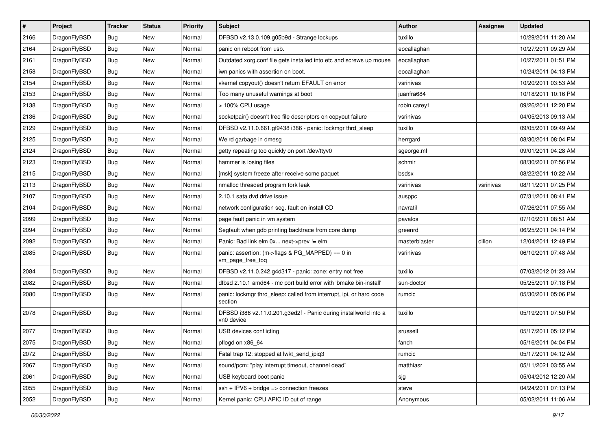| $\pmb{\#}$ | Project      | <b>Tracker</b> | <b>Status</b> | <b>Priority</b> | Subject                                                                        | <b>Author</b> | Assignee  | <b>Updated</b>      |
|------------|--------------|----------------|---------------|-----------------|--------------------------------------------------------------------------------|---------------|-----------|---------------------|
| 2166       | DragonFlyBSD | <b>Bug</b>     | New           | Normal          | DFBSD v2.13.0.109.g05b9d - Strange lockups                                     | tuxillo       |           | 10/29/2011 11:20 AM |
| 2164       | DragonFlyBSD | Bug            | <b>New</b>    | Normal          | panic on reboot from usb.                                                      | eocallaghan   |           | 10/27/2011 09:29 AM |
| 2161       | DragonFlyBSD | <b>Bug</b>     | New           | Normal          | Outdated xorg.conf file gets installed into etc and screws up mouse            | eocallaghan   |           | 10/27/2011 01:51 PM |
| 2158       | DragonFlyBSD | Bug            | <b>New</b>    | Normal          | iwn panics with assertion on boot.                                             | eocallaghan   |           | 10/24/2011 04:13 PM |
| 2154       | DragonFlyBSD | Bug            | <b>New</b>    | Normal          | vkernel copyout() doesn't return EFAULT on error                               | vsrinivas     |           | 10/20/2011 03:53 AM |
| 2153       | DragonFlyBSD | Bug            | <b>New</b>    | Normal          | Too many unuseful warnings at boot                                             | juanfra684    |           | 10/18/2011 10:16 PM |
| 2138       | DragonFlyBSD | Bug            | New           | Normal          | > 100% CPU usage                                                               | robin.carey1  |           | 09/26/2011 12:20 PM |
| 2136       | DragonFlyBSD | <b>Bug</b>     | <b>New</b>    | Normal          | socketpair() doesn't free file descriptors on copyout failure                  | vsrinivas     |           | 04/05/2013 09:13 AM |
| 2129       | DragonFlyBSD | Bug            | New           | Normal          | DFBSD v2.11.0.661.gf9438 i386 - panic: lockmgr thrd_sleep                      | tuxillo       |           | 09/05/2011 09:49 AM |
| 2125       | DragonFlyBSD | Bug            | New           | Normal          | Weird garbage in dmesg                                                         | herrgard      |           | 08/30/2011 08:04 PM |
| 2124       | DragonFlyBSD | Bug            | New           | Normal          | getty repeating too quickly on port /dev/ttyv0                                 | sgeorge.ml    |           | 09/01/2011 04:28 AM |
| 2123       | DragonFlyBSD | Bug            | <b>New</b>    | Normal          | hammer is losing files                                                         | schmir        |           | 08/30/2011 07:56 PM |
| 2115       | DragonFlyBSD | Bug            | <b>New</b>    | Normal          | [msk] system freeze after receive some paquet                                  | bsdsx         |           | 08/22/2011 10:22 AM |
| 2113       | DragonFlyBSD | Bug            | New           | Normal          | nmalloc threaded program fork leak                                             | vsrinivas     | vsrinivas | 08/11/2011 07:25 PM |
| 2107       | DragonFlyBSD | Bug            | <b>New</b>    | Normal          | 2.10.1 sata dvd drive issue                                                    | ausppc        |           | 07/31/2011 08:41 PM |
| 2104       | DragonFlyBSD | Bug            | New           | Normal          | network configuration seg. fault on install CD                                 | navratil      |           | 07/26/2011 07:55 AM |
| 2099       | DragonFlyBSD | Bug            | New           | Normal          | page fault panic in vm system                                                  | pavalos       |           | 07/10/2011 08:51 AM |
| 2094       | DragonFlyBSD | Bug            | New           | Normal          | Segfault when gdb printing backtrace from core dump                            | greenrd       |           | 06/25/2011 04:14 PM |
| 2092       | DragonFlyBSD | Bug            | <b>New</b>    | Normal          | Panic: Bad link elm 0x next->prev != elm                                       | masterblaster | dillon    | 12/04/2011 12:49 PM |
| 2085       | DragonFlyBSD | Bug            | New           | Normal          | panic: assertion: (m->flags & PG_MAPPED) == 0 in<br>vm_page_free_toq           | vsrinivas     |           | 06/10/2011 07:48 AM |
| 2084       | DragonFlyBSD | Bug            | <b>New</b>    | Normal          | DFBSD v2.11.0.242.g4d317 - panic: zone: entry not free                         | tuxillo       |           | 07/03/2012 01:23 AM |
| 2082       | DragonFlyBSD | Bug            | <b>New</b>    | Normal          | dfbsd 2.10.1 amd64 - mc port build error with 'bmake bin-install'              | sun-doctor    |           | 05/25/2011 07:18 PM |
| 2080       | DragonFlyBSD | <b>Bug</b>     | New           | Normal          | panic: lockmgr thrd sleep: called from interrupt, ipi, or hard code<br>section | rumcic        |           | 05/30/2011 05:06 PM |
| 2078       | DragonFlyBSD | <b>Bug</b>     | New           | Normal          | DFBSD i386 v2.11.0.201.g3ed2f - Panic during installworld into a<br>vn0 device | tuxillo       |           | 05/19/2011 07:50 PM |
| 2077       | DragonFlyBSD | <b>Bug</b>     | New           | Normal          | USB devices conflicting                                                        | srussell      |           | 05/17/2011 05:12 PM |
| 2075       | DragonFlyBSD | Bug            | <b>New</b>    | Normal          | pflogd on x86_64                                                               | fanch         |           | 05/16/2011 04:04 PM |
| 2072       | DragonFlyBSD | <b>Bug</b>     | <b>New</b>    | Normal          | Fatal trap 12: stopped at lwkt_send_ipiq3                                      | rumcic        |           | 05/17/2011 04:12 AM |
| 2067       | DragonFlyBSD | Bug            | <b>New</b>    | Normal          | sound/pcm: "play interrupt timeout, channel dead"                              | matthiasr     |           | 05/11/2021 03:55 AM |
| 2061       | DragonFlyBSD | Bug            | New           | Normal          | USB keyboard boot panic                                                        | sjg           |           | 05/04/2012 12:20 AM |
| 2055       | DragonFlyBSD | <b>Bug</b>     | New           | Normal          | $ssh + IPV6 + bridge \Rightarrow connection freezes$                           | steve         |           | 04/24/2011 07:13 PM |
| 2052       | DragonFlyBSD | <b>Bug</b>     | New           | Normal          | Kernel panic: CPU APIC ID out of range                                         | Anonymous     |           | 05/02/2011 11:06 AM |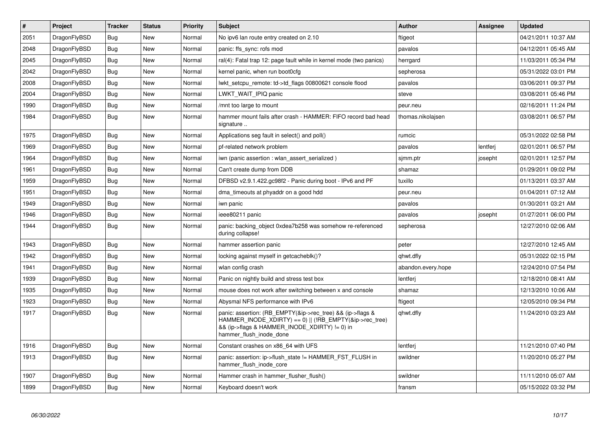| $\vert$ # | Project      | <b>Tracker</b> | <b>Status</b> | <b>Priority</b> | <b>Subject</b>                                                                                                                                                                                    | <b>Author</b>      | Assignee | <b>Updated</b>      |
|-----------|--------------|----------------|---------------|-----------------|---------------------------------------------------------------------------------------------------------------------------------------------------------------------------------------------------|--------------------|----------|---------------------|
| 2051      | DragonFlyBSD | <b>Bug</b>     | <b>New</b>    | Normal          | No ipv6 lan route entry created on 2.10                                                                                                                                                           | ftigeot            |          | 04/21/2011 10:37 AM |
| 2048      | DragonFlyBSD | <b>Bug</b>     | <b>New</b>    | Normal          | panic: ffs sync: rofs mod                                                                                                                                                                         | pavalos            |          | 04/12/2011 05:45 AM |
| 2045      | DragonFlyBSD | Bug            | <b>New</b>    | Normal          | ral(4): Fatal trap 12: page fault while in kernel mode (two panics)                                                                                                                               | herrgard           |          | 11/03/2011 05:34 PM |
| 2042      | DragonFlyBSD | <b>Bug</b>     | <b>New</b>    | Normal          | kernel panic, when run boot0cfg                                                                                                                                                                   | sepherosa          |          | 05/31/2022 03:01 PM |
| 2008      | DragonFlyBSD | Bug            | <b>New</b>    | Normal          | lwkt setcpu remote: td->td flags 00800621 console flood                                                                                                                                           | pavalos            |          | 03/06/2011 09:37 PM |
| 2004      | DragonFlyBSD | <b>Bug</b>     | <b>New</b>    | Normal          | LWKT WAIT IPIQ panic                                                                                                                                                                              | steve              |          | 03/08/2011 05:46 PM |
| 1990      | DragonFlyBSD | Bug            | <b>New</b>    | Normal          | /mnt too large to mount                                                                                                                                                                           | peur.neu           |          | 02/16/2011 11:24 PM |
| 1984      | DragonFlyBSD | <b>Bug</b>     | <b>New</b>    | Normal          | hammer mount fails after crash - HAMMER: FIFO record bad head<br>signature                                                                                                                        | thomas.nikolajsen  |          | 03/08/2011 06:57 PM |
| 1975      | DragonFlyBSD | Bug            | New           | Normal          | Applications seg fault in select() and poll()                                                                                                                                                     | rumcic             |          | 05/31/2022 02:58 PM |
| 1969      | DragonFlyBSD | Bug            | <b>New</b>    | Normal          | pf-related network problem                                                                                                                                                                        | pavalos            | lentferj | 02/01/2011 06:57 PM |
| 1964      | DragonFlyBSD | Bug            | New           | Normal          | iwn (panic assertion : wlan assert serialized)                                                                                                                                                    | sjmm.ptr           | josepht  | 02/01/2011 12:57 PM |
| 1961      | DragonFlyBSD | <b>Bug</b>     | <b>New</b>    | Normal          | Can't create dump from DDB                                                                                                                                                                        | shamaz             |          | 01/29/2011 09:02 PM |
| 1959      | DragonFlyBSD | Bug            | <b>New</b>    | Normal          | DFBSD v2.9.1.422.gc98f2 - Panic during boot - IPv6 and PF                                                                                                                                         | tuxillo            |          | 01/13/2011 03:37 AM |
| 1951      | DragonFlyBSD | <b>Bug</b>     | <b>New</b>    | Normal          | dma_timeouts at phyaddr on a good hdd                                                                                                                                                             | peur.neu           |          | 01/04/2011 07:12 AM |
| 1949      | DragonFlyBSD | <b>Bug</b>     | New           | Normal          | iwn panic                                                                                                                                                                                         | pavalos            |          | 01/30/2011 03:21 AM |
| 1946      | DragonFlyBSD | Bug            | <b>New</b>    | Normal          | ieee80211 panic                                                                                                                                                                                   | pavalos            | josepht  | 01/27/2011 06:00 PM |
| 1944      | DragonFlyBSD | <b>Bug</b>     | <b>New</b>    | Normal          | panic: backing object 0xdea7b258 was somehow re-referenced<br>during collapse!                                                                                                                    | sepherosa          |          | 12/27/2010 02:06 AM |
| 1943      | DragonFlyBSD | <b>Bug</b>     | <b>New</b>    | Normal          | hammer assertion panic                                                                                                                                                                            | peter              |          | 12/27/2010 12:45 AM |
| 1942      | DragonFlyBSD | <b>Bug</b>     | New           | Normal          | locking against myself in getcacheblk()?                                                                                                                                                          | qhwt.dfly          |          | 05/31/2022 02:15 PM |
| 1941      | DragonFlyBSD | <b>Bug</b>     | <b>New</b>    | Normal          | wlan config crash                                                                                                                                                                                 | abandon.every.hope |          | 12/24/2010 07:54 PM |
| 1939      | DragonFlyBSD | Bug            | <b>New</b>    | Normal          | Panic on nightly build and stress test box                                                                                                                                                        | lentferj           |          | 12/18/2010 08:41 AM |
| 1935      | DragonFlyBSD | Bug            | <b>New</b>    | Normal          | mouse does not work after switching between x and console                                                                                                                                         | shamaz             |          | 12/13/2010 10:06 AM |
| 1923      | DragonFlyBSD | <b>Bug</b>     | <b>New</b>    | Normal          | Abysmal NFS performance with IPv6                                                                                                                                                                 | ftigeot            |          | 12/05/2010 09:34 PM |
| 1917      | DragonFlyBSD | Bug            | <b>New</b>    | Normal          | panic: assertion: (RB EMPTY(&ip->rec_tree) && (ip->flags &<br>HAMMER INODE XDIRTY) == 0)    (!RB EMPTY(&ip->rec tree)<br>&& (ip->flags & HAMMER INODE XDIRTY) != 0) in<br>hammer_flush_inode_done | qhwt.dfly          |          | 11/24/2010 03:23 AM |
| 1916      | DragonFlyBSD | <b>Bug</b>     | <b>New</b>    | Normal          | Constant crashes on x86_64 with UFS                                                                                                                                                               | lentferj           |          | 11/21/2010 07:40 PM |
| 1913      | DragonFlyBSD | <b>Bug</b>     | <b>New</b>    | Normal          | panic: assertion: ip->flush_state != HAMMER_FST_FLUSH in<br>hammer_flush_inode_core                                                                                                               | swildner           |          | 11/20/2010 05:27 PM |
| 1907      | DragonFlyBSD | Bug            | <b>New</b>    | Normal          | Hammer crash in hammer flusher flush()                                                                                                                                                            | swildner           |          | 11/11/2010 05:07 AM |
| 1899      | DragonFlyBSD | Bug            | New           | Normal          | Keyboard doesn't work                                                                                                                                                                             | fransm             |          | 05/15/2022 03:32 PM |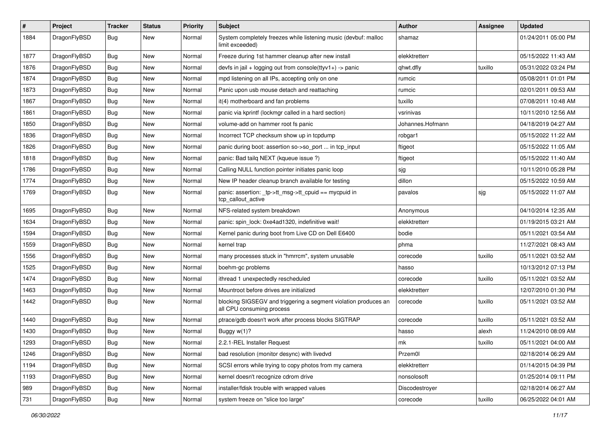| $\vert$ # | Project      | <b>Tracker</b> | <b>Status</b> | <b>Priority</b> | Subject                                                                                      | Author           | Assignee | <b>Updated</b>      |
|-----------|--------------|----------------|---------------|-----------------|----------------------------------------------------------------------------------------------|------------------|----------|---------------------|
| 1884      | DragonFlyBSD | <b>Bug</b>     | New           | Normal          | System completely freezes while listening music (devbuf: malloc<br>limit exceeded)           | shamaz           |          | 01/24/2011 05:00 PM |
| 1877      | DragonFlyBSD | <b>Bug</b>     | <b>New</b>    | Normal          | Freeze during 1st hammer cleanup after new install                                           | elekktretterr    |          | 05/15/2022 11:43 AM |
| 1876      | DragonFlyBSD | Bug            | New           | Normal          | devfs in jail + logging out from console(ttyv1+) -> panic                                    | qhwt.dfly        | tuxillo  | 05/31/2022 03:24 PM |
| 1874      | DragonFlyBSD | Bug            | <b>New</b>    | Normal          | mpd listening on all IPs, accepting only on one                                              | rumcic           |          | 05/08/2011 01:01 PM |
| 1873      | DragonFlyBSD | <b>Bug</b>     | New           | Normal          | Panic upon usb mouse detach and reattaching                                                  | rumcic           |          | 02/01/2011 09:53 AM |
| 1867      | DragonFlyBSD | Bug            | <b>New</b>    | Normal          | it(4) motherboard and fan problems                                                           | tuxillo          |          | 07/08/2011 10:48 AM |
| 1861      | DragonFlyBSD | <b>Bug</b>     | New           | Normal          | panic via kprintf (lockmgr called in a hard section)                                         | vsrinivas        |          | 10/11/2010 12:56 AM |
| 1850      | DragonFlyBSD | Bug            | New           | Normal          | volume-add on hammer root fs panic                                                           | Johannes.Hofmann |          | 04/18/2019 04:27 AM |
| 1836      | DragonFlyBSD | <b>Bug</b>     | <b>New</b>    | Normal          | Incorrect TCP checksum show up in tcpdump                                                    | robgar1          |          | 05/15/2022 11:22 AM |
| 1826      | DragonFlyBSD | Bug            | New           | Normal          | panic during boot: assertion so->so_port  in tcp_input                                       | ftigeot          |          | 05/15/2022 11:05 AM |
| 1818      | DragonFlyBSD | Bug            | <b>New</b>    | Normal          | panic: Bad tailg NEXT (kqueue issue ?)                                                       | ftigeot          |          | 05/15/2022 11:40 AM |
| 1786      | DragonFlyBSD | <b>Bug</b>     | New           | Normal          | Calling NULL function pointer initiates panic loop                                           | sjg              |          | 10/11/2010 05:28 PM |
| 1774      | DragonFlyBSD | Bug            | New           | Normal          | New IP header cleanup branch available for testing                                           | dillon           |          | 05/15/2022 10:59 AM |
| 1769      | DragonFlyBSD | Bug            | New           | Normal          | panic: assertion: _tp->tt_msg->tt_cpuid == mycpuid in<br>tcp callout active                  | pavalos          | sjg      | 05/15/2022 11:07 AM |
| 1695      | DragonFlyBSD | Bug            | <b>New</b>    | Normal          | NFS-related system breakdown                                                                 | Anonymous        |          | 04/10/2014 12:35 AM |
| 1634      | DragonFlyBSD | Bug            | <b>New</b>    | Normal          | panic: spin lock: 0xe4ad1320, indefinitive wait!                                             | elekktretterr    |          | 01/19/2015 03:21 AM |
| 1594      | DragonFlyBSD | <b>Bug</b>     | New           | Normal          | Kernel panic during boot from Live CD on Dell E6400                                          | bodie            |          | 05/11/2021 03:54 AM |
| 1559      | DragonFlyBSD | Bug            | <b>New</b>    | Normal          | kernel trap                                                                                  | phma             |          | 11/27/2021 08:43 AM |
| 1556      | DragonFlyBSD | Bug            | New           | Normal          | many processes stuck in "hmrrcm", system unusable                                            | corecode         | tuxillo  | 05/11/2021 03:52 AM |
| 1525      | DragonFlyBSD | <b>Bug</b>     | New           | Normal          | boehm-gc problems                                                                            | hasso            |          | 10/13/2012 07:13 PM |
| 1474      | DragonFlyBSD | <b>Bug</b>     | New           | Normal          | ithread 1 unexpectedly rescheduled                                                           | corecode         | tuxillo  | 05/11/2021 03:52 AM |
| 1463      | DragonFlyBSD | <b>Bug</b>     | New           | Normal          | Mountroot before drives are initialized                                                      | elekktretterr    |          | 12/07/2010 01:30 PM |
| 1442      | DragonFlyBSD | Bug            | New           | Normal          | blocking SIGSEGV and triggering a segment violation produces an<br>all CPU consuming process | corecode         | tuxillo  | 05/11/2021 03:52 AM |
| 1440      | DragonFlyBSD | Bug            | New           | Normal          | ptrace/gdb doesn't work after process blocks SIGTRAP                                         | corecode         | tuxillo  | 05/11/2021 03:52 AM |
| 1430      | DragonFlyBSD | Bug            | New           | Normal          | Buggy w(1)?                                                                                  | hasso            | alexh    | 11/24/2010 08:09 AM |
| 1293      | DragonFlyBSD | Bug            | New           | Normal          | 2.2.1-REL Installer Request                                                                  | mk               | tuxillo  | 05/11/2021 04:00 AM |
| 1246      | DragonFlyBSD | <b>Bug</b>     | New           | Normal          | bad resolution (monitor desync) with livedvd                                                 | Przem0l          |          | 02/18/2014 06:29 AM |
| 1194      | DragonFlyBSD | Bug            | New           | Normal          | SCSI errors while trying to copy photos from my camera                                       | elekktretterr    |          | 01/14/2015 04:39 PM |
| 1193      | DragonFlyBSD | Bug            | New           | Normal          | kernel doesn't recognize cdrom drive                                                         | nonsolosoft      |          | 01/25/2014 09:11 PM |
| 989       | DragonFlyBSD | Bug            | New           | Normal          | installer/fdisk trouble with wrapped values                                                  | Discodestroyer   |          | 02/18/2014 06:27 AM |
| 731       | DragonFlyBSD | Bug            | New           | Normal          | system freeze on "slice too large"                                                           | corecode         | tuxillo  | 06/25/2022 04:01 AM |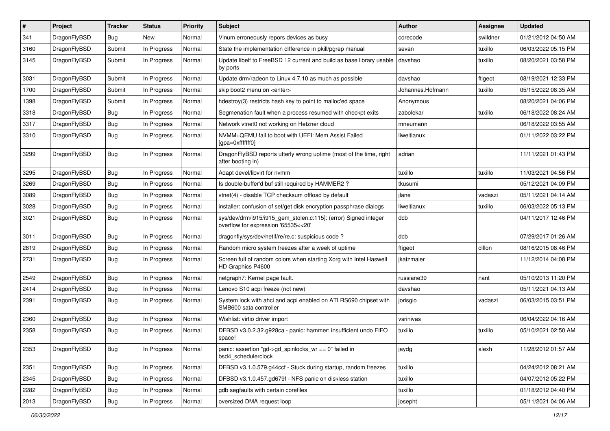| #    | Project      | <b>Tracker</b> | <b>Status</b> | <b>Priority</b> | Subject                                                                                                | Author           | <b>Assignee</b> | <b>Updated</b>      |
|------|--------------|----------------|---------------|-----------------|--------------------------------------------------------------------------------------------------------|------------------|-----------------|---------------------|
| 341  | DragonFlyBSD | Bug            | New           | Normal          | Vinum erroneously repors devices as busy                                                               | corecode         | swildner        | 01/21/2012 04:50 AM |
| 3160 | DragonFlyBSD | Submit         | In Progress   | Normal          | State the implementation difference in pkill/pgrep manual                                              | sevan            | tuxillo         | 06/03/2022 05:15 PM |
| 3145 | DragonFlyBSD | Submit         | In Progress   | Normal          | Update libelf to FreeBSD 12 current and build as base library usable<br>by ports                       | davshao          | tuxillo         | 08/20/2021 03:58 PM |
| 3031 | DragonFlyBSD | Submit         | In Progress   | Normal          | Update drm/radeon to Linux 4.7.10 as much as possible                                                  | davshao          | ftigeot         | 08/19/2021 12:33 PM |
| 1700 | DragonFlyBSD | Submit         | In Progress   | Normal          | skip boot2 menu on <enter></enter>                                                                     | Johannes.Hofmann | tuxillo         | 05/15/2022 08:35 AM |
| 1398 | DragonFlyBSD | Submit         | In Progress   | Normal          | hdestroy(3) restricts hash key to point to malloc'ed space                                             | Anonymous        |                 | 08/20/2021 04:06 PM |
| 3318 | DragonFlyBSD | <b>Bug</b>     | In Progress   | Normal          | Segmenation fault when a process resumed with checkpt exits                                            | zabolekar        | tuxillo         | 06/18/2022 08:24 AM |
| 3317 | DragonFlyBSD | <b>Bug</b>     | In Progress   | Normal          | Network vtnet0 not working on Hetzner cloud                                                            | mneumann         |                 | 06/18/2022 03:55 AM |
| 3310 | DragonFlyBSD | Bug            | In Progress   | Normal          | NVMM+QEMU fail to boot with UEFI: Mem Assist Failed<br>[gpa=0xfffffff0]                                | liweitianux      |                 | 01/11/2022 03:22 PM |
| 3299 | DragonFlyBSD | Bug            | In Progress   | Normal          | DragonFlyBSD reports utterly wrong uptime (most of the time, right<br>after booting in)                | adrian           |                 | 11/11/2021 01:43 PM |
| 3295 | DragonFlyBSD | Bug            | In Progress   | Normal          | Adapt devel/libvirt for nvmm                                                                           | tuxillo          | tuxillo         | 11/03/2021 04:56 PM |
| 3269 | DragonFlyBSD | <b>Bug</b>     | In Progress   | Normal          | Is double-buffer'd buf still required by HAMMER2 ?                                                     | tkusumi          |                 | 05/12/2021 04:09 PM |
| 3089 | DragonFlyBSD | <b>Bug</b>     | In Progress   | Normal          | vtnet(4) - disable TCP checksum offload by default                                                     | jlane            | vadaszi         | 05/11/2021 04:14 AM |
| 3028 | DragonFlyBSD | <b>Bug</b>     | In Progress   | Normal          | installer: confusion of set/get disk encryption passphrase dialogs                                     | liweitianux      | tuxillo         | 06/03/2022 05:13 PM |
| 3021 | DragonFlyBSD | Bug            | In Progress   | Normal          | sys/dev/drm/i915/i915_gem_stolen.c:115]: (error) Signed integer<br>overflow for expression '65535<<20' | dcb              |                 | 04/11/2017 12:46 PM |
| 3011 | DragonFlyBSD | Bug            | In Progress   | Normal          | dragonfly/sys/dev/netif/re/re.c: suspicious code?                                                      | dcb              |                 | 07/29/2017 01:26 AM |
| 2819 | DragonFlyBSD | Bug            | In Progress   | Normal          | Random micro system freezes after a week of uptime                                                     | ftigeot          | dillon          | 08/16/2015 08:46 PM |
| 2731 | DragonFlyBSD | <b>Bug</b>     | In Progress   | Normal          | Screen full of random colors when starting Xorg with Intel Haswell<br>HD Graphics P4600                | jkatzmaier       |                 | 11/12/2014 04:08 PM |
| 2549 | DragonFlyBSD | <b>Bug</b>     | In Progress   | Normal          | netgraph7: Kernel page fault.                                                                          | russiane39       | nant            | 05/10/2013 11:20 PM |
| 2414 | DragonFlyBSD | Bug            | In Progress   | Normal          | Lenovo S10 acpi freeze (not new)                                                                       | davshao          |                 | 05/11/2021 04:13 AM |
| 2391 | DragonFlyBSD | Bug            | In Progress   | Normal          | System lock with ahci and acpi enabled on ATI RS690 chipset with<br>SMB600 sata controller             | jorisgio         | vadaszi         | 06/03/2015 03:51 PM |
| 2360 | DragonFlyBSD | Bug            | In Progress   | Normal          | Wishlist: virtio driver import                                                                         | vsrinivas        |                 | 06/04/2022 04:16 AM |
| 2358 | DragonFlyBSD | Bug            | In Progress   | Normal          | DFBSD v3.0.2.32.g928ca - panic: hammer: insufficient undo FIFO<br>space!                               | tuxillo          | tuxillo         | 05/10/2021 02:50 AM |
| 2353 | DragonFlyBSD | <b>Bug</b>     | In Progress   | Normal          | panic: assertion "gd->gd_spinlocks_wr == 0" failed in<br>bsd4 schedulerclock                           | jaydg            | alexh           | 11/28/2012 01:57 AM |
| 2351 | DragonFlyBSD | <b>Bug</b>     | In Progress   | Normal          | DFBSD v3.1.0.579.g44ccf - Stuck during startup, random freezes                                         | tuxillo          |                 | 04/24/2012 08:21 AM |
| 2345 | DragonFlyBSD | Bug            | In Progress   | Normal          | DFBSD v3.1.0.457.gd679f - NFS panic on diskless station                                                | tuxillo          |                 | 04/07/2012 05:22 PM |
| 2282 | DragonFlyBSD | <b>Bug</b>     | In Progress   | Normal          | gdb segfaults with certain corefiles                                                                   | tuxillo          |                 | 01/18/2012 04:40 PM |
| 2013 | DragonFlyBSD | <b>Bug</b>     | In Progress   | Normal          | oversized DMA request loop                                                                             | josepht          |                 | 05/11/2021 04:06 AM |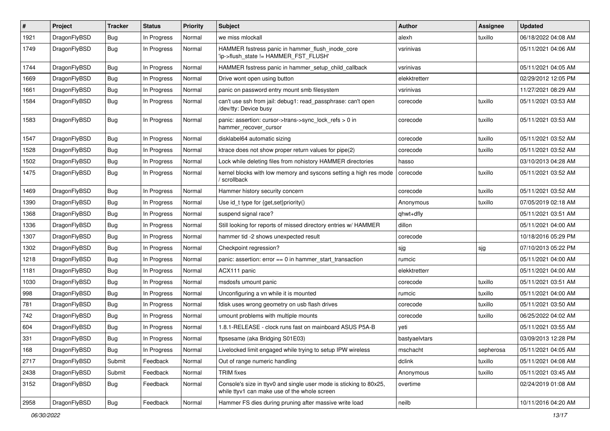| ∦    | Project      | <b>Tracker</b> | <b>Status</b> | <b>Priority</b> | Subject                                                                                                            | Author        | <b>Assignee</b> | <b>Updated</b>      |
|------|--------------|----------------|---------------|-----------------|--------------------------------------------------------------------------------------------------------------------|---------------|-----------------|---------------------|
| 1921 | DragonFlyBSD | Bug            | In Progress   | Normal          | we miss mlockall                                                                                                   | alexh         | tuxillo         | 06/18/2022 04:08 AM |
| 1749 | DragonFlyBSD | <b>Bug</b>     | In Progress   | Normal          | HAMMER fsstress panic in hammer_flush_inode_core<br>'ip->flush_state != HAMMER_FST_FLUSH'                          | vsrinivas     |                 | 05/11/2021 04:06 AM |
| 1744 | DragonFlyBSD | Bug            | In Progress   | Normal          | HAMMER fsstress panic in hammer setup child callback                                                               | vsrinivas     |                 | 05/11/2021 04:05 AM |
| 1669 | DragonFlyBSD | Bug            | In Progress   | Normal          | Drive wont open using button                                                                                       | elekktretterr |                 | 02/29/2012 12:05 PM |
| 1661 | DragonFlyBSD | <b>Bug</b>     | In Progress   | Normal          | panic on password entry mount smb filesystem                                                                       | vsrinivas     |                 | 11/27/2021 08:29 AM |
| 1584 | DragonFlyBSD | <b>Bug</b>     | In Progress   | Normal          | can't use ssh from jail: debug1: read_passphrase: can't open<br>/dev/tty: Device busy                              | corecode      | tuxillo         | 05/11/2021 03:53 AM |
| 1583 | DragonFlyBSD | Bug            | In Progress   | Normal          | panic: assertion: cursor->trans->sync_lock_refs > 0 in<br>hammer_recover_cursor                                    | corecode      | tuxillo         | 05/11/2021 03:53 AM |
| 1547 | DragonFlyBSD | <b>Bug</b>     | In Progress   | Normal          | disklabel64 automatic sizing                                                                                       | corecode      | tuxillo         | 05/11/2021 03:52 AM |
| 1528 | DragonFlyBSD | <b>Bug</b>     | In Progress   | Normal          | ktrace does not show proper return values for pipe(2)                                                              | corecode      | tuxillo         | 05/11/2021 03:52 AM |
| 1502 | DragonFlyBSD | Bug            | In Progress   | Normal          | Lock while deleting files from nohistory HAMMER directories                                                        | hasso         |                 | 03/10/2013 04:28 AM |
| 1475 | DragonFlyBSD | <b>Bug</b>     | In Progress   | Normal          | kernel blocks with low memory and syscons setting a high res mode<br>scrollback                                    | corecode      | tuxillo         | 05/11/2021 03:52 AM |
| 1469 | DragonFlyBSD | Bug            | In Progress   | Normal          | Hammer history security concern                                                                                    | corecode      | tuxillo         | 05/11/2021 03:52 AM |
| 1390 | DragonFlyBSD | <b>Bug</b>     | In Progress   | Normal          | Use id_t type for {get,set}priority()                                                                              | Anonymous     | tuxillo         | 07/05/2019 02:18 AM |
| 1368 | DragonFlyBSD | <b>Bug</b>     | In Progress   | Normal          | suspend signal race?                                                                                               | qhwt+dfly     |                 | 05/11/2021 03:51 AM |
| 1336 | DragonFlyBSD | <b>Bug</b>     | In Progress   | Normal          | Still looking for reports of missed directory entries w/ HAMMER                                                    | dillon        |                 | 05/11/2021 04:00 AM |
| 1307 | DragonFlyBSD | <b>Bug</b>     | In Progress   | Normal          | hammer tid -2 shows unexpected result                                                                              | corecode      |                 | 10/18/2016 05:29 PM |
| 1302 | DragonFlyBSD | <b>Bug</b>     | In Progress   | Normal          | Checkpoint regression?                                                                                             | sjg           | sjg             | 07/10/2013 05:22 PM |
| 1218 | DragonFlyBSD | <b>Bug</b>     | In Progress   | Normal          | panic: assertion: $error == 0$ in hammer start transaction                                                         | rumcic        |                 | 05/11/2021 04:00 AM |
| 1181 | DragonFlyBSD | Bug            | In Progress   | Normal          | ACX111 panic                                                                                                       | elekktretterr |                 | 05/11/2021 04:00 AM |
| 1030 | DragonFlyBSD | <b>Bug</b>     | In Progress   | Normal          | msdosfs umount panic                                                                                               | corecode      | tuxillo         | 05/11/2021 03:51 AM |
| 998  | DragonFlyBSD | <b>Bug</b>     | In Progress   | Normal          | Unconfiguring a vn while it is mounted                                                                             | rumcic        | tuxillo         | 05/11/2021 04:00 AM |
| 781  | DragonFlyBSD | Bug            | In Progress   | Normal          | fdisk uses wrong geometry on usb flash drives                                                                      | corecode      | tuxillo         | 05/11/2021 03:50 AM |
| 742  | DragonFlyBSD | <b>Bug</b>     | In Progress   | Normal          | umount problems with multiple mounts                                                                               | corecode      | tuxillo         | 06/25/2022 04:02 AM |
| 604  | DragonFlyBSD | Bug            | In Progress   | Normal          | 1.8.1-RELEASE - clock runs fast on mainboard ASUS P5A-B                                                            | yeti          |                 | 05/11/2021 03:55 AM |
| 331  | DragonFlyBSD | <b>Bug</b>     | In Progress   | Normal          | ftpsesame (aka Bridging S01E03)                                                                                    | bastyaelvtars |                 | 03/09/2013 12:28 PM |
| 168  | DragonFlyBSD | <b>Bug</b>     | In Progress   | Normal          | Livelocked limit engaged while trying to setup IPW wireless                                                        | mschacht      | sepherosa       | 05/11/2021 04:05 AM |
| 2717 | DragonFlyBSD | Submit         | Feedback      | Normal          | Out of range numeric handling                                                                                      | dclink        | tuxillo         | 05/11/2021 04:08 AM |
| 2438 | DragonFlyBSD | Submit         | Feedback      | Normal          | <b>TRIM</b> fixes                                                                                                  | Anonymous     | tuxillo         | 05/11/2021 03:45 AM |
| 3152 | DragonFlyBSD | <b>Bug</b>     | Feedback      | Normal          | Console's size in ttyv0 and single user mode is sticking to 80x25,<br>while ttyv1 can make use of the whole screen | overtime      |                 | 02/24/2019 01:08 AM |
| 2958 | DragonFlyBSD | Bug            | Feedback      | Normal          | Hammer FS dies during pruning after massive write load                                                             | neilb         |                 | 10/11/2016 04:20 AM |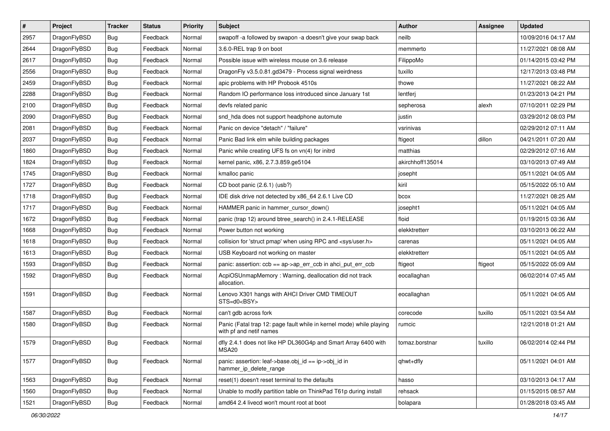| $\pmb{\#}$ | Project      | <b>Tracker</b> | <b>Status</b> | <b>Priority</b> | Subject                                                                                         | <b>Author</b>    | Assignee | <b>Updated</b>      |
|------------|--------------|----------------|---------------|-----------------|-------------------------------------------------------------------------------------------------|------------------|----------|---------------------|
| 2957       | DragonFlyBSD | <b>Bug</b>     | Feedback      | Normal          | swapoff -a followed by swapon -a doesn't give your swap back                                    | neilb            |          | 10/09/2016 04:17 AM |
| 2644       | DragonFlyBSD | <b>Bug</b>     | Feedback      | Normal          | 3.6.0-REL trap 9 on boot                                                                        | memmerto         |          | 11/27/2021 08:08 AM |
| 2617       | DragonFlyBSD | <b>Bug</b>     | Feedback      | Normal          | Possible issue with wireless mouse on 3.6 release                                               | FilippoMo        |          | 01/14/2015 03:42 PM |
| 2556       | DragonFlyBSD | <b>Bug</b>     | Feedback      | Normal          | DragonFly v3.5.0.81.gd3479 - Process signal weirdness                                           | tuxillo          |          | 12/17/2013 03:48 PM |
| 2459       | DragonFlyBSD | Bug            | Feedback      | Normal          | apic problems with HP Probook 4510s                                                             | thowe            |          | 11/27/2021 08:22 AM |
| 2288       | DragonFlyBSD | <b>Bug</b>     | Feedback      | Normal          | Random IO performance loss introduced since January 1st                                         | lentferj         |          | 01/23/2013 04:21 PM |
| 2100       | DragonFlyBSD | <b>Bug</b>     | Feedback      | Normal          | devfs related panic                                                                             | sepherosa        | alexh    | 07/10/2011 02:29 PM |
| 2090       | DragonFlyBSD | <b>Bug</b>     | Feedback      | Normal          | snd hda does not support headphone automute                                                     | justin           |          | 03/29/2012 08:03 PM |
| 2081       | DragonFlyBSD | <b>Bug</b>     | Feedback      | Normal          | Panic on device "detach" / "failure"                                                            | vsrinivas        |          | 02/29/2012 07:11 AM |
| 2037       | DragonFlyBSD | <b>Bug</b>     | Feedback      | Normal          | Panic Bad link elm while building packages                                                      | ftigeot          | dillon   | 04/21/2011 07:20 AM |
| 1860       | DragonFlyBSD | <b>Bug</b>     | Feedback      | Normal          | Panic while creating UFS fs on vn(4) for initrd                                                 | matthias         |          | 02/29/2012 07:16 AM |
| 1824       | DragonFlyBSD | <b>Bug</b>     | Feedback      | Normal          | kernel panic, x86, 2.7.3.859.ge5104                                                             | akirchhoff135014 |          | 03/10/2013 07:49 AM |
| 1745       | DragonFlyBSD | <b>Bug</b>     | Feedback      | Normal          | kmalloc panic                                                                                   | josepht          |          | 05/11/2021 04:05 AM |
| 1727       | DragonFlyBSD | <b>Bug</b>     | Feedback      | Normal          | CD boot panic (2.6.1) (usb?)                                                                    | kiril            |          | 05/15/2022 05:10 AM |
| 1718       | DragonFlyBSD | <b>Bug</b>     | Feedback      | Normal          | IDE disk drive not detected by x86_64 2.6.1 Live CD                                             | bcox             |          | 11/27/2021 08:25 AM |
| 1717       | DragonFlyBSD | <b>Bug</b>     | Feedback      | Normal          | HAMMER panic in hammer cursor down()                                                            | josepht1         |          | 05/11/2021 04:05 AM |
| 1672       | DragonFlyBSD | <b>Bug</b>     | Feedback      | Normal          | panic (trap 12) around btree_search() in 2.4.1-RELEASE                                          | floid            |          | 01/19/2015 03:36 AM |
| 1668       | DragonFlyBSD | <b>Bug</b>     | Feedback      | Normal          | Power button not working                                                                        | elekktretterr    |          | 03/10/2013 06:22 AM |
| 1618       | DragonFlyBSD | <b>Bug</b>     | Feedback      | Normal          | collision for 'struct pmap' when using RPC and <sys user.h=""></sys>                            | carenas          |          | 05/11/2021 04:05 AM |
| 1613       | DragonFlyBSD | <b>Bug</b>     | Feedback      | Normal          | USB Keyboard not working on master                                                              | elekktretterr    |          | 05/11/2021 04:05 AM |
| 1593       | DragonFlyBSD | <b>Bug</b>     | Feedback      | Normal          | panic: assertion: ccb == ap->ap_err_ccb in ahci_put_err_ccb                                     | ftigeot          | ftigeot  | 05/15/2022 05:09 AM |
| 1592       | DragonFlyBSD | <b>Bug</b>     | Feedback      | Normal          | AcpiOSUnmapMemory: Warning, deallocation did not track<br>allocation.                           | eocallaghan      |          | 06/02/2014 07:45 AM |
| 1591       | DragonFlyBSD | Bug            | Feedback      | Normal          | Lenovo X301 hangs with AHCI Driver CMD TIMEOUT<br>STS=d0 <bsy></bsy>                            | eocallaghan      |          | 05/11/2021 04:05 AM |
| 1587       | DragonFlyBSD | Bug            | Feedback      | Normal          | can't gdb across fork                                                                           | corecode         | tuxillo  | 05/11/2021 03:54 AM |
| 1580       | DragonFlyBSD | <b>Bug</b>     | Feedback      | Normal          | Panic (Fatal trap 12: page fault while in kernel mode) while playing<br>with pf and netif names | rumcic           |          | 12/21/2018 01:21 AM |
| 1579       | DragonFlyBSD | Bug            | Feedback      | Normal          | dfly 2.4.1 does not like HP DL360G4p and Smart Array 6400 with<br><b>MSA20</b>                  | tomaz.borstnar   | tuxillo  | 06/02/2014 02:44 PM |
| 1577       | DragonFlyBSD | <b>Bug</b>     | Feedback      | Normal          | panic: assertion: leaf->base.obj_id == ip->obj_id in<br>hammer_ip_delete_range                  | qhwt+dfly        |          | 05/11/2021 04:01 AM |
| 1563       | DragonFlyBSD | Bug            | Feedback      | Normal          | reset(1) doesn't reset terminal to the defaults                                                 | hasso            |          | 03/10/2013 04:17 AM |
| 1560       | DragonFlyBSD | <b>Bug</b>     | Feedback      | Normal          | Unable to modify partition table on ThinkPad T61p during install                                | rehsack          |          | 01/15/2015 08:57 AM |
| 1521       | DragonFlyBSD | <b>Bug</b>     | Feedback      | Normal          | amd64 2.4 livecd won't mount root at boot                                                       | bolapara         |          | 01/28/2018 03:45 AM |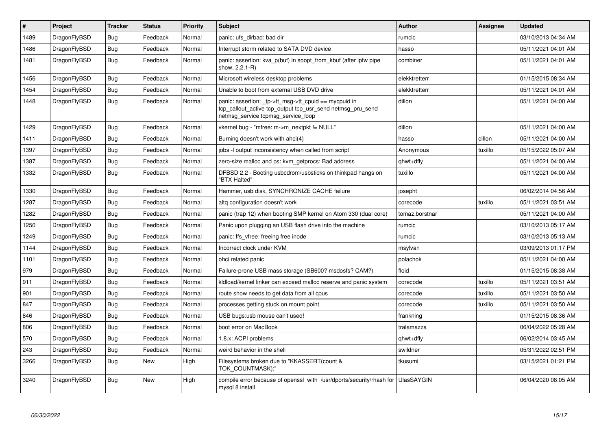| $\vert$ # | Project      | <b>Tracker</b> | <b>Status</b> | <b>Priority</b> | <b>Subject</b>                                                                                                                                           | <b>Author</b>     | Assignee | <b>Updated</b>      |
|-----------|--------------|----------------|---------------|-----------------|----------------------------------------------------------------------------------------------------------------------------------------------------------|-------------------|----------|---------------------|
| 1489      | DragonFlyBSD | <b>Bug</b>     | Feedback      | Normal          | panic: ufs_dirbad: bad dir                                                                                                                               | rumcic            |          | 03/10/2013 04:34 AM |
| 1486      | DragonFlyBSD | Bug            | Feedback      | Normal          | Interrupt storm related to SATA DVD device                                                                                                               | hasso             |          | 05/11/2021 04:01 AM |
| 1481      | DragonFlyBSD | Bug            | Feedback      | Normal          | panic: assertion: kva p(buf) in soopt from kbuf (after ipfw pipe<br>show, 2.2.1-R)                                                                       | combiner          |          | 05/11/2021 04:01 AM |
| 1456      | DragonFlyBSD | Bug            | Feedback      | Normal          | Microsoft wireless desktop problems                                                                                                                      | elekktretterr     |          | 01/15/2015 08:34 AM |
| 1454      | DragonFlyBSD | <b>Bug</b>     | Feedback      | Normal          | Unable to boot from external USB DVD drive                                                                                                               | elekktretterr     |          | 05/11/2021 04:01 AM |
| 1448      | DragonFlyBSD | <b>Bug</b>     | Feedback      | Normal          | panic: assertion: tp->tt_msg->tt_cpuid == mycpuid in<br>tcp_callout_active tcp_output tcp_usr_send netmsg_pru_send<br>netmsg service tcpmsg service loop | dillon            |          | 05/11/2021 04:00 AM |
| 1429      | DragonFlyBSD | <b>Bug</b>     | Feedback      | Normal          | vkernel bug - "mfree: m->m_nextpkt != NULL"                                                                                                              | dillon            |          | 05/11/2021 04:00 AM |
| 1411      | DragonFlyBSD | Bug            | Feedback      | Normal          | Burning doesn't work with ahci(4)                                                                                                                        | hasso             | dillon   | 05/11/2021 04:00 AM |
| 1397      | DragonFlyBSD | <b>Bug</b>     | Feedback      | Normal          | jobs -I output inconsistency when called from script                                                                                                     | Anonymous         | tuxillo  | 05/15/2022 05:07 AM |
| 1387      | DragonFlyBSD | Bug            | Feedback      | Normal          | zero-size malloc and ps: kvm_getprocs: Bad address                                                                                                       | qhwt+dfly         |          | 05/11/2021 04:00 AM |
| 1332      | DragonFlyBSD | Bug            | Feedback      | Normal          | DFBSD 2.2 - Booting usbcdrom/usbsticks on thinkpad hangs on<br>"BTX Halted"                                                                              | tuxillo           |          | 05/11/2021 04:00 AM |
| 1330      | DragonFlyBSD | Bug            | Feedback      | Normal          | Hammer, usb disk, SYNCHRONIZE CACHE failure                                                                                                              | josepht           |          | 06/02/2014 04:56 AM |
| 1287      | DragonFlyBSD | <b>Bug</b>     | Feedback      | Normal          | altg configuration doesn't work                                                                                                                          | corecode          | tuxillo  | 05/11/2021 03:51 AM |
| 1282      | DragonFlyBSD | Bug            | Feedback      | Normal          | panic (trap 12) when booting SMP kernel on Atom 330 (dual core)                                                                                          | tomaz.borstnar    |          | 05/11/2021 04:00 AM |
| 1250      | DragonFlyBSD | <b>Bug</b>     | Feedback      | Normal          | Panic upon plugging an USB flash drive into the machine                                                                                                  | rumcic            |          | 03/10/2013 05:17 AM |
| 1249      | DragonFlyBSD | <b>Bug</b>     | Feedback      | Normal          | panic: ffs vfree: freeing free inode                                                                                                                     | rumcic            |          | 03/10/2013 05:13 AM |
| 1144      | DragonFlyBSD | <b>Bug</b>     | Feedback      | Normal          | Incorrect clock under KVM                                                                                                                                | msylvan           |          | 03/09/2013 01:17 PM |
| 1101      | DragonFlyBSD | <b>Bug</b>     | Feedback      | Normal          | ohci related panic                                                                                                                                       | polachok          |          | 05/11/2021 04:00 AM |
| 979       | DragonFlyBSD | Bug            | Feedback      | Normal          | Failure-prone USB mass storage (SB600? msdosfs? CAM?)                                                                                                    | floid             |          | 01/15/2015 08:38 AM |
| 911       | DragonFlyBSD | Bug            | Feedback      | Normal          | kidload/kernel linker can exceed malloc reserve and panic system                                                                                         | corecode          | tuxillo  | 05/11/2021 03:51 AM |
| 901       | DragonFlyBSD | <b>Bug</b>     | Feedback      | Normal          | route show needs to get data from all cpus                                                                                                               | corecode          | tuxillo  | 05/11/2021 03:50 AM |
| 847       | DragonFlyBSD | <b>Bug</b>     | Feedback      | Normal          | processes getting stuck on mount point                                                                                                                   | corecode          | tuxillo  | 05/11/2021 03:50 AM |
| 846       | DragonFlyBSD | Bug            | Feedback      | Normal          | USB bugs:usb mouse can't used!                                                                                                                           | frankning         |          | 01/15/2015 08:36 AM |
| 806       | DragonFlyBSD | <b>Bug</b>     | Feedback      | Normal          | boot error on MacBook                                                                                                                                    | tralamazza        |          | 06/04/2022 05:28 AM |
| 570       | DragonFlyBSD | <b>Bug</b>     | Feedback      | Normal          | 1.8.x: ACPI problems                                                                                                                                     | qhwt+dfly         |          | 06/02/2014 03:45 AM |
| 243       | DragonFlyBSD | <b>Bug</b>     | Feedback      | Normal          | weird behavior in the shell                                                                                                                              | swildner          |          | 05/31/2022 02:51 PM |
| 3266      | DragonFlyBSD | <b>Bug</b>     | New           | High            | Filesystems broken due to "KKASSERT(count &<br>TOK COUNTMASK);"                                                                                          | tkusumi           |          | 03/15/2021 01:21 PM |
| 3240      | DragonFlyBSD | Bug            | <b>New</b>    | High            | compile error because of openssl with /usr/dports/security/rhash for<br>mysql 8 install                                                                  | <b>UlasSAYGIN</b> |          | 06/04/2020 08:05 AM |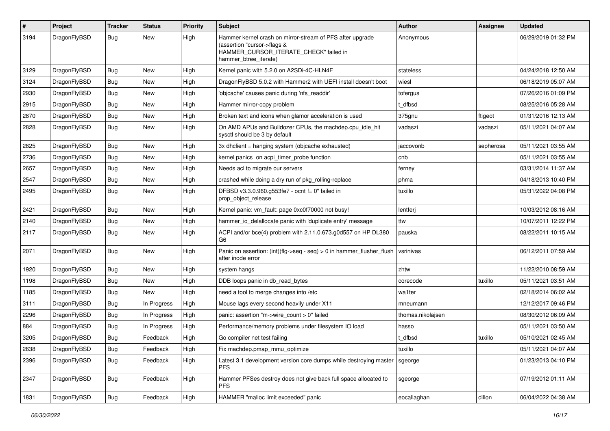| #    | Project      | <b>Tracker</b> | <b>Status</b> | <b>Priority</b> | Subject                                                                                                                                                     | <b>Author</b>     | Assignee  | <b>Updated</b>      |
|------|--------------|----------------|---------------|-----------------|-------------------------------------------------------------------------------------------------------------------------------------------------------------|-------------------|-----------|---------------------|
| 3194 | DragonFlyBSD | Bug            | New           | High            | Hammer kernel crash on mirror-stream of PFS after upgrade<br>(assertion "cursor->flags &<br>HAMMER_CURSOR_ITERATE_CHECK" failed in<br>hammer_btree_iterate) | Anonymous         |           | 06/29/2019 01:32 PM |
| 3129 | DragonFlyBSD | <b>Bug</b>     | <b>New</b>    | High            | Kernel panic with 5.2.0 on A2SDi-4C-HLN4F                                                                                                                   | stateless         |           | 04/24/2018 12:50 AM |
| 3124 | DragonFlyBSD | <b>Bug</b>     | New           | High            | DragonFlyBSD 5.0.2 with Hammer2 with UEFI install doesn't boot                                                                                              | wiesl             |           | 06/18/2019 05:07 AM |
| 2930 | DragonFlyBSD | <b>Bug</b>     | <b>New</b>    | High            | 'objcache' causes panic during 'nfs readdir'                                                                                                                | tofergus          |           | 07/26/2016 01:09 PM |
| 2915 | DragonFlyBSD | <b>Bug</b>     | New           | High            | Hammer mirror-copy problem                                                                                                                                  | t dfbsd           |           | 08/25/2016 05:28 AM |
| 2870 | DragonFlyBSD | <b>Bug</b>     | <b>New</b>    | High            | Broken text and icons when glamor acceleration is used                                                                                                      | 375gnu            | ftigeot   | 01/31/2016 12:13 AM |
| 2828 | DragonFlyBSD | <b>Bug</b>     | New           | High            | On AMD APUs and Bulldozer CPUs, the machdep.cpu_idle_hlt<br>sysctl should be 3 by default                                                                   | vadaszi           | vadaszi   | 05/11/2021 04:07 AM |
| 2825 | DragonFlyBSD | Bug            | <b>New</b>    | High            | 3x dhclient = hanging system (objcache exhausted)                                                                                                           | jaccovonb         | sepherosa | 05/11/2021 03:55 AM |
| 2736 | DragonFlyBSD | Bug            | <b>New</b>    | High            | kernel panics on acpi_timer_probe function                                                                                                                  | cnb               |           | 05/11/2021 03:55 AM |
| 2657 | DragonFlyBSD | <b>Bug</b>     | <b>New</b>    | High            | Needs acl to migrate our servers                                                                                                                            | ferney            |           | 03/31/2014 11:37 AM |
| 2547 | DragonFlyBSD | Bug            | <b>New</b>    | High            | crashed while doing a dry run of pkg_rolling-replace                                                                                                        | phma              |           | 04/18/2013 10:40 PM |
| 2495 | DragonFlyBSD | Bug            | New           | High            | DFBSD v3.3.0.960.g553fe7 - ocnt != 0" failed in<br>prop_object_release                                                                                      | tuxillo           |           | 05/31/2022 04:08 PM |
| 2421 | DragonFlyBSD | Bug            | <b>New</b>    | High            | Kernel panic: vm_fault: page 0xc0f70000 not busy!                                                                                                           | lentferj          |           | 10/03/2012 08:16 AM |
| 2140 | DragonFlyBSD | <b>Bug</b>     | New           | High            | hammer_io_delallocate panic with 'duplicate entry' message                                                                                                  | ttw               |           | 10/07/2011 12:22 PM |
| 2117 | DragonFlyBSD | Bug            | New           | High            | ACPI and/or bce(4) problem with 2.11.0.673.g0d557 on HP DL380<br>G <sub>6</sub>                                                                             | pauska            |           | 08/22/2011 10:15 AM |
| 2071 | DragonFlyBSD | Bug            | New           | High            | Panic on assertion: (int)(flg->seq - seq) > 0 in hammer_flusher_flush<br>after inode error                                                                  | vsrinivas         |           | 06/12/2011 07:59 AM |
| 1920 | DragonFlyBSD | Bug            | <b>New</b>    | High            | system hangs                                                                                                                                                | zhtw              |           | 11/22/2010 08:59 AM |
| 1198 | DragonFlyBSD | Bug            | New           | High            | DDB loops panic in db_read_bytes                                                                                                                            | corecode          | tuxillo   | 05/11/2021 03:51 AM |
| 1185 | DragonFlyBSD | Bug            | <b>New</b>    | High            | need a tool to merge changes into /etc                                                                                                                      | wa1ter            |           | 02/18/2014 06:02 AM |
| 3111 | DragonFlyBSD | <b>Bug</b>     | In Progress   | High            | Mouse lags every second heavily under X11                                                                                                                   | mneumann          |           | 12/12/2017 09:46 PM |
| 2296 | DragonFlyBSD | <b>Bug</b>     | In Progress   | High            | panic: assertion "m->wire count > 0" failed                                                                                                                 | thomas.nikolajsen |           | 08/30/2012 06:09 AM |
| 884  | DragonFlyBSD | Bug            | In Progress   | High            | Performance/memory problems under filesystem IO load                                                                                                        | hasso             |           | 05/11/2021 03:50 AM |
| 3205 | DragonFlyBSD | Bug            | Feedback      | High            | Go compiler net test failing                                                                                                                                | t dfbsd           | tuxillo   | 05/10/2021 02:45 AM |
| 2638 | DragonFlyBSD | Bug            | Feedback      | High            | Fix machdep.pmap_mmu_optimize                                                                                                                               | tuxillo           |           | 05/11/2021 04:07 AM |
| 2396 | DragonFlyBSD | <b>Bug</b>     | Feedback      | High            | Latest 3.1 development version core dumps while destroying master<br><b>PFS</b>                                                                             | sgeorge           |           | 01/23/2013 04:10 PM |
| 2347 | DragonFlyBSD | <b>Bug</b>     | Feedback      | High            | Hammer PFSes destroy does not give back full space allocated to<br>PFS.                                                                                     | sgeorge           |           | 07/19/2012 01:11 AM |
| 1831 | DragonFlyBSD | Bug            | Feedback      | High            | HAMMER "malloc limit exceeded" panic                                                                                                                        | eocallaghan       | dillon    | 06/04/2022 04:38 AM |